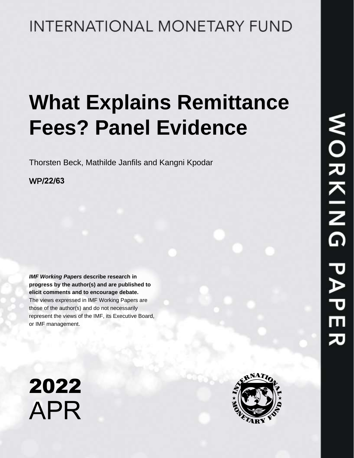# **INTERNATIONAL MONETARY FUND**

# **What Explains Remittance Fees? Panel Evidence**

Thorsten Beck, Mathilde Janfils and Kangni Kpodar

WP/**22**/**63**

*IMF Working Papers* **describe research in progress by the author(s) and are published to elicit comments and to encourage debate.**  The views expressed in IMF Working Papers are those of the author(s) and do not necessarily represent the views of the IMF, its Executive Board, or IMF management.

2022 APR

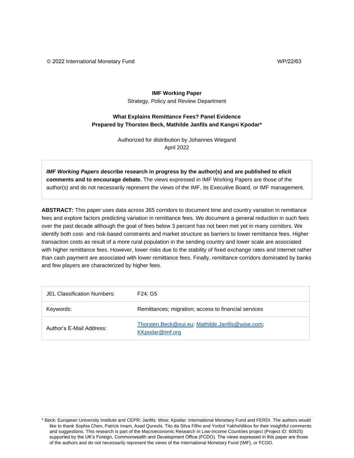© 2022 International Monetary Fund WP/22/63

**IMF Working Paper** Strategy, Policy and Review Department

#### **What Explains Remittance Fees? Panel Evidence Prepared by Thorsten Beck, Mathilde Janfils and Kangni Kpodar\***

Authorized for distribution by Johannes Wiegand April 2022

*IMF Working Papers* **describe research in progress by the author(s) and are published to elicit comments and to encourage debate.** The views expressed in IMF Working Papers are those of the author(s) and do not necessarily represent the views of the IMF, its Executive Board, or IMF management.

**ABSTRACT:** This paper uses data across 365 corridors to document time and country variation in remittance fees and explore factors predicting variation in remittance fees. We document a general reduction in such fees over the past decade although the goal of fees below 3 percent has not been met yet in many corridors. We identify both cost- and risk-based constraints and market structure as barriers to lower remittance fees. Higher transaction costs as result of a more rural population in the sending country and lower scale are associated with higher remittance fees. However, lower risks due to the stability of fixed exchange rates and Internet rather than cash payment are associated with lower remittance fees. Finally, remittance corridors dominated by banks and few players are characterized by higher fees.

| JEL Classification Numbers: | F <sub>24</sub> : G <sub>5</sub>                                    |
|-----------------------------|---------------------------------------------------------------------|
| Keywords:                   | Remittances; migration; access to financial services                |
| Author's F-Mail Address:    | Thorsten.Beck@eui.eu, Mathilde.Janfils@wise.com;<br>KKpodar@imf.org |

\* Beck: European University Institute and CEPR; Janfils: Wise; Kpodar: International Monetary Fund and FERDI. The authors would like to thank Sophia Chen, Patrick Imam, Asad Qureshi, Tito da Silva Filho and Yorbol Yakhshilikov for their insightful comments and suggestions. This research is part of the Macroeconomic Research in Low-Income Countries project (Project ID: 60925) supported by the UK's Foreign, Commonwealth and Development Office (FCDO). The views expressed in this paper are those of the authors and do not necessarily represent the views of the International Monetary Fund (IMF), or FCDO.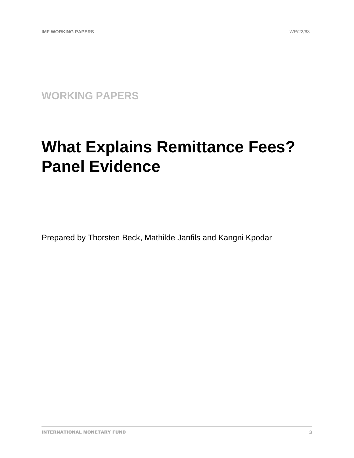**WORKING PAPERS**

# **What Explains Remittance Fees? Panel Evidence**

Prepared by Thorsten Beck, Mathilde Janfils and Kangni Kpodar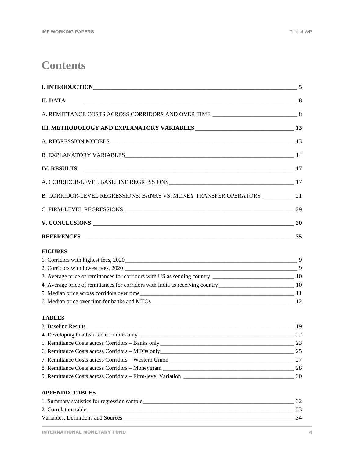| <b>II. DATA</b>                                                                      |    |
|--------------------------------------------------------------------------------------|----|
|                                                                                      |    |
|                                                                                      |    |
|                                                                                      |    |
|                                                                                      |    |
| <b>IV. RESULTS</b>                                                                   |    |
|                                                                                      |    |
| B. CORRIDOR-LEVEL REGRESSIONS: BANKS VS. MONEY TRANSFER OPERATORS _______________ 21 |    |
|                                                                                      |    |
|                                                                                      |    |
|                                                                                      |    |
| <b>FIGURES</b>                                                                       |    |
|                                                                                      |    |
|                                                                                      |    |
|                                                                                      |    |
|                                                                                      |    |
|                                                                                      |    |
|                                                                                      |    |
| <b>TABLES</b>                                                                        |    |
| 3. Baseline Results                                                                  |    |
|                                                                                      |    |
| 5. Remittance Costs across Corridors – Banks only                                    | 23 |
|                                                                                      | 25 |
|                                                                                      | 27 |
| 8. Remittance Costs across Corridors - Moneygram _______________________________     | 28 |
| 9. Remittance Costs across Corridors – Firm-level Variation                          | 30 |
| <b>APPENDIX TABLES</b>                                                               |    |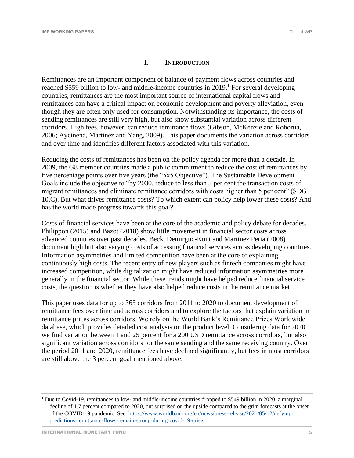#### **I. INTRODUCTION**

Remittances are an important component of balance of payment flows across countries and reached \$559 billion to low- and middle-income countries in  $2019<sup>1</sup>$  For several developing countries, remittances are the most important source of international capital flows and remittances can have a critical impact on economic development and poverty alleviation, even though they are often only used for consumption. Notwithstanding its importance, the costs of sending remittances are still very high, but also show substantial variation across different corridors. High fees, however, can reduce remittance flows (Gibson, McKenzie and Rohorua, 2006; Aycinena, Martinez and Yang, 2009). This paper documents the variation across corridors and over time and identifies different factors associated with this variation.

Reducing the costs of remittances has been on the policy agenda for more than a decade. In 2009, the G8 member countries made a public commitment to reduce the cost of remittances by five percentage points over five years (the "5x5 Objective"). The Sustainable Development Goals include the objective to "by 2030, reduce to less than 3 per cent the transaction costs of migrant remittances and eliminate remittance corridors with costs higher than 5 per cent" (SDG 10.C). But what drives remittance costs? To which extent can policy help lower these costs? And has the world made progress towards this goal?

Costs of financial services have been at the core of the academic and policy debate for decades. Philippon (2015) and Bazot (2018) show little movement in financial sector costs across advanced countries over past decades. Beck, Demirguc-Kunt and Martinez Peria (2008) document high but also varying costs of accessing financial services across developing countries. Information asymmetries and limited competition have been at the core of explaining continuously high costs. The recent entry of new players such as fintech companies might have increased competition, while digitalization might have reduced information asymmetries more generally in the financial sector. While these trends might have helped reduce financial service costs, the question is whether they have also helped reduce costs in the remittance market.

This paper uses data for up to 365 corridors from 2011 to 2020 to document development of remittance fees over time and across corridors and to explore the factors that explain variation in remittance prices across corridors. We rely on the World Bank's Remittance Prices Worldwide database, which provides detailed cost analysis on the product level. Considering data for 2020, we find variation between 1 and 25 percent for a 200 USD remittance across corridors, but also significant variation across corridors for the same sending and the same receiving country. Over the period 2011 and 2020, remittance fees have declined significantly, but fees in most corridors are still above the 3 percent goal mentioned above.

<sup>&</sup>lt;sup>1</sup> Due to Covid-19, remittances to low- and middle-income countries dropped to \$549 billion in 2020, a marginal decline of 1.7 percent compared to 2020, but surprised on the upside compared to the grim forecasts at the onset of the COVID-19 pandemic. See: [https://www.worldbank.org/en/news/press-release/2021/05/12/defying](https://www.worldbank.org/en/news/press-release/2021/05/12/defying-predictions-remittance-flows-remain-strong-during-covid-19-crisis)[predictions-remittance-flows-remain-strong-during-covid-19-crisis](https://www.worldbank.org/en/news/press-release/2021/05/12/defying-predictions-remittance-flows-remain-strong-during-covid-19-crisis)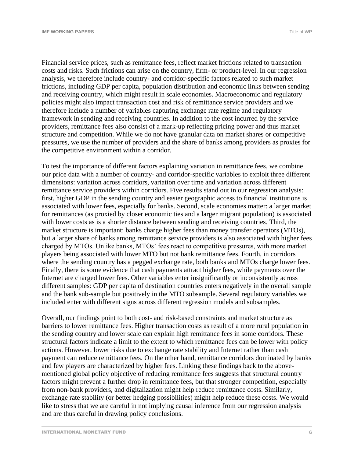Financial service prices, such as remittance fees, reflect market frictions related to transaction costs and risks. Such frictions can arise on the country, firm- or product-level. In our regression analysis, we therefore include country- and corridor-specific factors related to such market frictions, including GDP per capita, population distribution and economic links between sending and receiving country, which might result in scale economies. Macroeconomic and regulatory policies might also impact transaction cost and risk of remittance service providers and we therefore include a number of variables capturing exchange rate regime and regulatory framework in sending and receiving countries. In addition to the cost incurred by the service providers, remittance fees also consist of a mark-up reflecting pricing power and thus market structure and competition. While we do not have granular data on market shares or competitive pressures, we use the number of providers and the share of banks among providers as proxies for the competitive environment within a corridor.

To test the importance of different factors explaining variation in remittance fees, we combine our price data with a number of country- and corridor-specific variables to exploit three different dimensions: variation across corridors, variation over time and variation across different remittance service providers within corridors. Five results stand out in our regression analysis: first, higher GDP in the sending country and easier geographic access to financial institutions is associated with lower fees, especially for banks. Second, scale economies matter: a larger market for remittances (as proxied by closer economic ties and a larger migrant population) is associated with lower costs as is a shorter distance between sending and receiving countries. Third, the market structure is important: banks charge higher fees than money transfer operators (MTOs), but a larger share of banks among remittance service providers is also associated with higher fees charged by MTOs. Unlike banks, MTOs' fees react to competitive pressures, with more market players being associated with lower MTO but not bank remittance fees. Fourth, in corridors where the sending country has a pegged exchange rate, both banks and MTOs charge lower fees. Finally, there is some evidence that cash payments attract higher fees, while payments over the Internet are charged lower fees. Other variables enter insignificantly or inconsistently across different samples: GDP per capita of destination countries enters negatively in the overall sample and the bank sub-sample but positively in the MTO subsample. Several regulatory variables we included enter with different signs across different regression models and subsamples.

Overall, our findings point to both cost- and risk-based constraints and market structure as barriers to lower remittance fees. Higher transaction costs as result of a more rural population in the sending country and lower scale can explain high remittance fees in some corridors. These structural factors indicate a limit to the extent to which remittance fees can be lower with policy actions. However, lower risks due to exchange rate stability and Internet rather than cash payment can reduce remittance fees. On the other hand, remittance corridors dominated by banks and few players are characterized by higher fees. Linking these findings back to the abovementioned global policy objective of reducing remittance fees suggests that structural country factors might prevent a further drop in remittance fees, but that stronger competition, especially from non-bank providers, and digitalization might help reduce remittance costs. Similarly, exchange rate stability (or better hedging possibilities) might help reduce these costs. We would like to stress that we are careful in not implying causal inference from our regression analysis and are thus careful in drawing policy conclusions.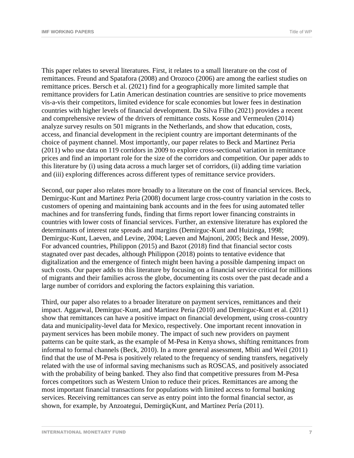This paper relates to several literatures. First, it relates to a small literature on the cost of remittances. Freund and Spatafora (2008) and Orozoco (2006) are among the earliest studies on remittance prices. Bersch et al. (2021) find for a geographically more limited sample that remittance providers for Latin American destination countries are sensitive to price movements vis-a-vis their competitors, limited evidence for scale economies but lower fees in destination countries with higher levels of financial development. Da Silva Filho (2021) provides a recent and comprehensive review of the drivers of remittance costs. Kosse and Vermeulen (2014) analyze survey results on 501 migrants in the Netherlands, and show that education, costs, access, and financial development in the recipient country are important determinants of the choice of payment channel. Most importantly, our paper relates to Beck and Martinez Peria (2011) who use data on 119 corridors in 2009 to explore cross-sectional variation in remittance prices and find an important role for the size of the corridors and competition. Our paper adds to this literature by (i) using data across a much larger set of corridors, (ii) adding time variation and (iii) exploring differences across different types of remittance service providers.

Second, our paper also relates more broadly to a literature on the cost of financial services. Beck, Demirguc-Kunt and Martinez Peria (2008) document large cross-country variation in the costs to customers of opening and maintaining bank accounts and in the fees for using automated teller machines and for transferring funds, finding that firms report lower financing constraints in countries with lower costs of financial services. Further, an extensive literature has explored the determinants of interest rate spreads and margins (Demirguc-Kunt and Huizinga, 1998; Demirguc-Kunt, Laeven, and Levine, 2004; Laeven and Majnoni, 2005; Beck and Hesse, 2009). For advanced countries, Philippon (2015) and Bazot (2018) find that financial sector costs stagnated over past decades, although Philippon (2018) points to tentative evidence that digitalization and the emergence of fintech might been having a possible dampening impact on such costs. Our paper adds to this literature by focusing on a financial service critical for millions of migrants and their families across the globe, documenting its costs over the past decade and a large number of corridors and exploring the factors explaining this variation.

Third, our paper also relates to a broader literature on payment services, remittances and their impact. Aggarwal, Demirguc-Kunt, and Martinez Peria (2010) and Demirguc-Kunt et al. (2011) show that remittances can have a positive impact on financial development, using cross-country data and municipality-level data for Mexico, respectively. One important recent innovation in payment services has been mobile money. The impact of such new providers on payment patterns can be quite stark, as the example of M-Pesa in Kenya shows, shifting remittances from informal to formal channels (Beck, 2010). In a more general assessment, Mbiti and Weil (2011) find that the use of M-Pesa is positively related to the frequency of sending transfers, negatively related with the use of informal saving mechanisms such as ROSCAS, and positively associated with the probability of being banked. They also find that competitive pressures from M-Pesa forces competitors such as Western Union to reduce their prices. Remittances are among the most important financial transactions for populations with limited access to formal banking services. Receiving remittances can serve as entry point into the formal financial sector, as shown, for example, by Anzoategui, DemirgüçKunt, and Martínez Pería (2011).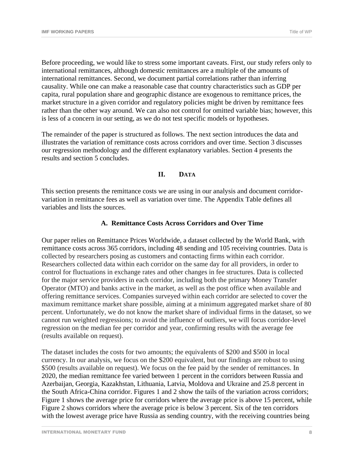Before proceeding, we would like to stress some important caveats. First, our study refers only to international remittances, although domestic remittances are a multiple of the amounts of international remittances. Second, we document partial correlations rather than inferring causality. While one can make a reasonable case that country characteristics such as GDP per capita, rural population share and geographic distance are exogenous to remittance prices, the market structure in a given corridor and regulatory policies might be driven by remittance fees rather than the other way around. We can also not control for omitted variable bias; however, this is less of a concern in our setting, as we do not test specific models or hypotheses.

The remainder of the paper is structured as follows. The next section introduces the data and illustrates the variation of remittance costs across corridors and over time. Section 3 discusses our regression methodology and the different explanatory variables. Section 4 presents the results and section 5 concludes.

#### **II. DATA**

This section presents the remittance costs we are using in our analysis and document corridorvariation in remittance fees as well as variation over time. The Appendix Table defines all variables and lists the sources.

#### **A. Remittance Costs Across Corridors and Over Time**

Our paper relies on Remittance Prices Worldwide, a dataset collected by the World Bank, with remittance costs across 365 corridors, including 48 sending and 105 receiving countries. Data is collected by researchers posing as customers and contacting firms within each corridor. Researchers collected data within each corridor on the same day for all providers, in order to control for fluctuations in exchange rates and other changes in fee structures. Data is collected for the major service providers in each corridor, including both the primary Money Transfer Operator (MTO) and banks active in the market, as well as the post office when available and offering remittance services. Companies surveyed within each corridor are selected to cover the maximum remittance market share possible, aiming at a minimum aggregated market share of 80 percent. Unfortunately, we do not know the market share of individual firms in the dataset, so we cannot run weighted regressions; to avoid the influence of outliers, we will focus corridor-level regression on the median fee per corridor and year, confirming results with the average fee (results available on request).

The dataset includes the costs for two amounts; the equivalents of \$200 and \$500 in local currency. In our analysis, we focus on the \$200 equivalent, but our findings are robust to using \$500 (results available on request). We focus on the fee paid by the sender of remittances. In 2020, the median remittance fee varied between 1 percent in the corridors between Russia and Azerbaijan, Georgia, Kazakhstan, Lithuania, Latvia, Moldova and Ukraine and 25.8 percent in the South Africa-China corridor. Figures 1 and 2 show the tails of the variation across corridors; Figure 1 shows the average price for corridors where the average price is above 15 percent, while Figure 2 shows corridors where the average price is below 3 percent. Six of the ten corridors with the lowest average price have Russia as sending country, with the receiving countries being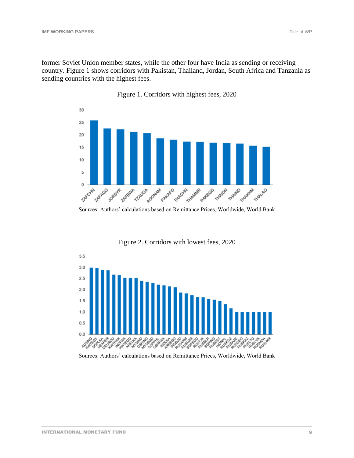former Soviet Union member states, while the other four have India as sending or receiving country. Figure 1 shows corridors with Pakistan, Thailand, Jordan, South Africa and Tanzania as sending countries with the highest fees.



Figure 1. Corridors with highest fees, 2020



Figure 2. Corridors with lowest fees, 2020

#### Sources: Authors' calculations based on Remittance Prices, Worldwide, World Bank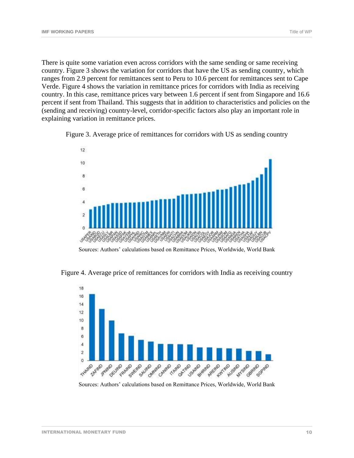There is quite some variation even across corridors with the same sending or same receiving country. Figure 3 shows the variation for corridors that have the US as sending country, which ranges from 2.9 percent for remittances sent to Peru to 10.6 percent for remittances sent to Cape Verde. Figure 4 shows the variation in remittance prices for corridors with India as receiving country. In this case, remittance prices vary between 1.6 percent if sent from Singapore and 16.6 percent if sent from Thailand. This suggests that in addition to characteristics and policies on the (sending and receiving) country-level, corridor-specific factors also play an important role in explaining variation in remittance prices.





Sources: Authors' calculations based on Remittance Prices, Worldwide, World Bank

Figure 4. Average price of remittances for corridors with India as receiving country



Sources: Authors' calculations based on Remittance Prices, Worldwide, World Bank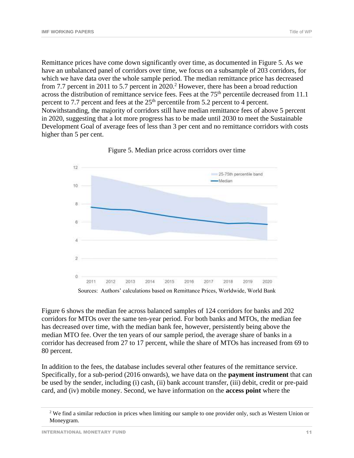Remittance prices have come down significantly over time, as documented in Figure 5. As we have an unbalanced panel of corridors over time, we focus on a subsample of 203 corridors, for which we have data over the whole sample period. The median remittance price has decreased from 7.7 percent in 2011 to 5.7 percent in 2020.<sup>2</sup> However, there has been a broad reduction across the distribution of remittance service fees. Fees at the 75<sup>th</sup> percentile decreased from 11.1 percent to 7.7 percent and fees at the  $25<sup>th</sup>$  percentile from 5.2 percent to 4 percent. Notwithstanding, the majority of corridors still have median remittance fees of above 5 percent in 2020, suggesting that a lot more progress has to be made until 2030 to meet the Sustainable Development Goal of average fees of less than 3 per cent and no remittance corridors with costs higher than 5 per cent.



Figure 5. Median price across corridors over time

Figure 6 shows the median fee across balanced samples of 124 corridors for banks and 202 corridors for MTOs over the same ten-year period. For both banks and MTOs, the median fee has decreased over time, with the median bank fee, however, persistently being above the median MTO fee. Over the ten years of our sample period, the average share of banks in a corridor has decreased from 27 to 17 percent, while the share of MTOs has increased from 69 to 80 percent.

In addition to the fees, the database includes several other features of the remittance service. Specifically, for a sub-period (2016 onwards), we have data on the **payment instrument** that can be used by the sender, including (i) cash, (ii) bank account transfer, (iii) debit, credit or pre-paid card, and (iv) mobile money. Second, we have information on the **access point** where the

Sources: Authors' calculations based on Remittance Prices, Worldwide, World Bank

<sup>&</sup>lt;sup>2</sup> We find a similar reduction in prices when limiting our sample to one provider only, such as Western Union or Moneygram.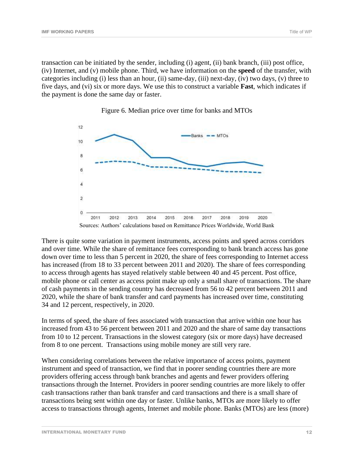12 Banks  $-$  MTOs 10 8 6  $\overline{4}$  $\overline{2}$  $\alpha$ 2011 2012 2013 2014 2015 2018 2017 2018 2019 2020 Sources: Authors' calculations based on Remittance Prices Worldwide, World Bank

Figure 6. Median price over time for banks and MTOs

There is quite some variation in payment instruments, access points and speed across corridors and over time. While the share of remittance fees corresponding to bank branch access has gone down over time to less than 5 percent in 2020, the share of fees corresponding to Internet access has increased (from 18 to 33 percent between 2011 and 2020). The share of fees corresponding to access through agents has stayed relatively stable between 40 and 45 percent. Post office, mobile phone or call center as access point make up only a small share of transactions. The share of cash payments in the sending country has decreased from 56 to 42 percent between 2011 and 2020, while the share of bank transfer and card payments has increased over time, constituting 34 and 12 percent, respectively, in 2020.

In terms of speed, the share of fees associated with transaction that arrive within one hour has increased from 43 to 56 percent between 2011 and 2020 and the share of same day transactions from 10 to 12 percent. Transactions in the slowest category (six or more days) have decreased from 8 to one percent. Transactions using mobile money are still very rare.

When considering correlations between the relative importance of access points, payment instrument and speed of transaction, we find that in poorer sending countries there are more providers offering access through bank branches and agents and fewer providers offering transactions through the Internet. Providers in poorer sending countries are more likely to offer cash transactions rather than bank transfer and card transactions and there is a small share of transactions being sent within one day or faster. Unlike banks, MTOs are more likely to offer access to transactions through agents, Internet and mobile phone. Banks (MTOs) are less (more)

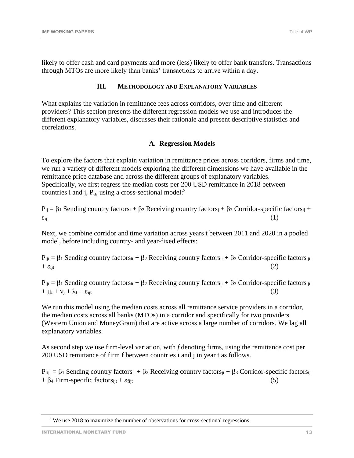likely to offer cash and card payments and more (less) likely to offer bank transfers. Transactions through MTOs are more likely than banks' transactions to arrive within a day.

#### **III. METHODOLOGY AND EXPLANATORY VARIABLES**

What explains the variation in remittance fees across corridors, over time and different providers? This section presents the different regression models we use and introduces the different explanatory variables, discusses their rationale and present descriptive statistics and correlations.

#### **A. Regression Models**

To explore the factors that explain variation in remittance prices across corridors, firms and time, we run a variety of different models exploring the different dimensions we have available in the remittance price database and across the different groups of explanatory variables. Specifically, we first regress the median costs per 200 USD remittance in 2018 between countries i and j,  $P_{ii}$ , using a cross-sectional model:<sup>3</sup>

 $P_{ij} = \beta_1$  Sending country factors<sub>i</sub> +  $\beta_2$  Receiving country factors<sub>i</sub> +  $\beta_3$  Corridor-specific factors<sub>ij</sub> +  $\varepsilon$ ij  $(1)$ 

Next, we combine corridor and time variation across years t between 2011 and 2020 in a pooled model, before including country- and year-fixed effects:

 $P_{ijt} = \beta_1$  Sending country factors<sub>it</sub> +  $\beta_2$  Receiving country factors<sub>it</sub> +  $\beta_3$  Corridor-specific factors<sub>iit</sub>  $+ \varepsilon_{ijt}$  (2)

 $P_{ijt} = \beta_1$  Sending country factors<sub>it</sub> +  $\beta_2$  Receiving country factors<sub>it</sub> +  $\beta_3$  Corridor-specific factors<sub>it</sub>  $+ \mu_i + \nu_i + \lambda_t + \varepsilon_{ii}$  (3)

We run this model using the median costs across all remittance service providers in a corridor, the median costs across all banks (MTOs) in a corridor and specifically for two providers (Western Union and MoneyGram) that are active across a large number of corridors. We lag all explanatory variables.

As second step we use firm-level variation, with *f* denoting firms, using the remittance cost per 200 USD remittance of firm f between countries i and j in year t as follows.

 $P_{\text{fijt}} = \beta_1$  Sending country factors<sub>it</sub> +  $\beta_2$  Receiving country factors<sub>it</sub> +  $\beta_3$  Corridor-specific factors<sub>ijt</sub>  $+ \beta_4$  Firm-specific factors<sub>ijt</sub> +  $\varepsilon_{\text{fit}}$  (5)

<sup>&</sup>lt;sup>3</sup> We use 2018 to maximize the number of observations for cross-sectional regressions.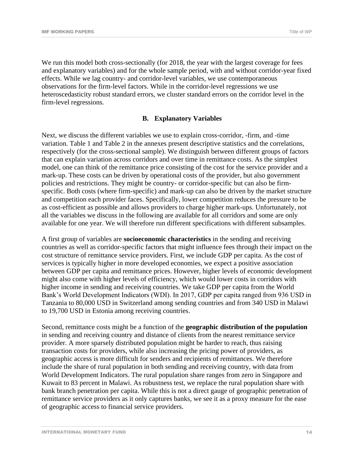We run this model both cross-sectionally (for 2018, the year with the largest coverage for fees and explanatory variables) and for the whole sample period, with and without corridor-year fixed effects. While we lag country- and corridor-level variables, we use contemporaneous observations for the firm-level factors. While in the corridor-level regressions we use heteroscedasticity robust standard errors, we cluster standard errors on the corridor level in the firm-level regressions.

#### **B. Explanatory Variables**

Next, we discuss the different variables we use to explain cross-corridor, -firm, and -time variation. Table 1 and Table 2 in the annexes present descriptive statistics and the correlations, respectively (for the cross-sectional sample). We distinguish between different groups of factors that can explain variation across corridors and over time in remittance costs. As the simplest model, one can think of the remittance price consisting of the cost for the service provider and a mark-up. These costs can be driven by operational costs of the provider, but also government policies and restrictions. They might be country- or corridor-specific but can also be firmspecific. Both costs (where firm-specific) and mark-up can also be driven by the market structure and competition each provider faces. Specifically, lower competition reduces the pressure to be as cost-efficient as possible and allows providers to charge higher mark-ups. Unfortunately, not all the variables we discuss in the following are available for all corridors and some are only available for one year. We will therefore run different specifications with different subsamples.

A first group of variables are **socioeconomic characteristics** in the sending and receiving countries as well as corridor-specific factors that might influence fees through their impact on the cost structure of remittance service providers. First, we include GDP per capita. As the cost of services is typically higher in more developed economies, we expect a positive association between GDP per capita and remittance prices. However, higher levels of economic development might also come with higher levels of efficiency, which would lower costs in corridors with higher income in sending and receiving countries. We take GDP per capita from the World Bank's World Development Indicators (WDI). In 2017, GDP per capita ranged from 936 USD in Tanzania to 80,000 USD in Switzerland among sending countries and from 340 USD in Malawi to 19,700 USD in Estonia among receiving countries.

Second, remittance costs might be a function of the **geographic distribution of the population** in sending and receiving country and distance of clients from the nearest remittance service provider. A more sparsely distributed population might be harder to reach, thus raising transaction costs for providers, while also increasing the pricing power of providers, as geographic access is more difficult for senders and recipients of remittances. We therefore include the share of rural population in both sending and receiving country, with data from World Development Indicators. The rural population share ranges from zero in Singapore and Kuwait to 83 percent in Malawi. As robustness test, we replace the rural population share with bank branch penetration per capita. While this is not a direct gauge of geographic penetration of remittance service providers as it only captures banks, we see it as a proxy measure for the ease of geographic access to financial service providers.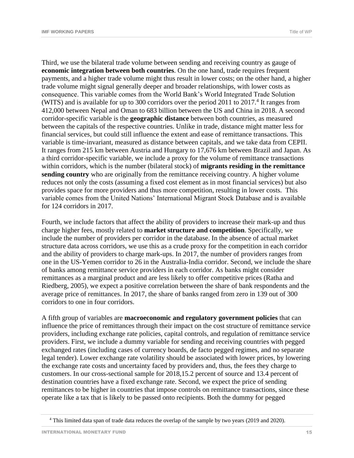Third, we use the bilateral trade volume between sending and receiving country as gauge of **economic integration between both countries**. On the one hand, trade requires frequent payments, and a higher trade volume might thus result in lower costs; on the other hand, a higher trade volume might signal generally deeper and broader relationships, with lower costs as consequence. This variable comes from the World Bank's World Integrated Trade Solution (WITS) and is available for up to 300 corridors over the period 2011 to  $2017<sup>4</sup>$  It ranges from 412,000 between Nepal and Oman to 683 billion between the US and China in 2018. A second corridor-specific variable is the **geographic distance** between both countries, as measured between the capitals of the respective countries. Unlike in trade, distance might matter less for financial services, but could still influence the extent and ease of remittance transactions. This variable is time-invariant, measured as distance between capitals, and we take data from CEPII. It ranges from 215 km between Austria and Hungary to 17,676 km between Brazil and Japan. As a third corridor-specific variable, we include a proxy for the volume of remittance transactions within corridors, which is the number (bilateral stock) of **migrants residing in the remittance sending country** who are originally from the remittance receiving country. A higher volume reduces not only the costs (assuming a fixed cost element as in most financial services) but also provides space for more providers and thus more competition, resulting in lower costs. This variable comes from the United Nations' International Migrant Stock Database and is available for 124 corridors in 2017.

Fourth, we include factors that affect the ability of providers to increase their mark-up and thus charge higher fees, mostly related to **market structure and competition**. Specifically, we include the number of providers per corridor in the database. In the absence of actual market structure data across corridors, we use this as a crude proxy for the competition in each corridor and the ability of providers to charge mark-ups. In 2017, the number of providers ranges from one in the US-Yemen corridor to 26 in the Australia-India corridor. Second, we include the share of banks among remittance service providers in each corridor. As banks might consider remittances as a marginal product and are less likely to offer competitive prices (Ratha and Riedberg, 2005), we expect a positive correlation between the share of bank respondents and the average price of remittances. In 2017, the share of banks ranged from zero in 139 out of 300 corridors to one in four corridors.

A fifth group of variables are **macroeconomic and regulatory government policies** that can influence the price of remittances through their impact on the cost structure of remittance service providers, including exchange rate policies, capital controls, and regulation of remittance service providers. First, we include a dummy variable for sending and receiving countries with pegged exchanged rates (including cases of currency boards, de facto pegged regimes, and no separate legal tender). Lower exchange rate volatility should be associated with lower prices, by lowering the exchange rate costs and uncertainty faced by providers and, thus, the fees they charge to customers. In our cross-sectional sample for 2018,15.2 percent of source and 13.4 percent of destination countries have a fixed exchange rate. Second, we expect the price of sending remittances to be higher in countries that impose controls on remittance transactions, since these operate like a tax that is likely to be passed onto recipients. Both the dummy for pegged

<sup>4</sup> This limited data span of trade data reduces the overlap of the sample by two years (2019 and 2020).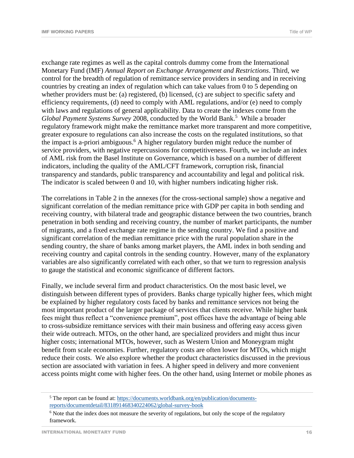exchange rate regimes as well as the capital controls dummy come from the International Monetary Fund (IMF) *Annual Report on Exchange Arrangement and Restrictions*. Third, we control for the breadth of regulation of remittance service providers in sending and in receiving countries by creating an index of regulation which can take values from 0 to 5 depending on whether providers must be: (a) registered, (b) licensed, (c) are subject to specific safety and efficiency requirements, (d) need to comply with AML regulations, and/or (e) need to comply with laws and regulations of general applicability. Data to create the indexes come from the Global Payment Systems Survey 2008, conducted by the World Bank.<sup>5</sup> While a broader regulatory framework might make the remittance market more transparent and more competitive, greater exposure to regulations can also increase the costs on the regulated institutions, so that the impact is a-priori ambiguous.<sup>6</sup> A higher regulatory burden might reduce the number of service providers, with negative repercussions for competitiveness. Fourth, we include an index of AML risk from the Basel Institute on Governance, which is based on a number of different indicators, including the quality of the AML/CFT framework, corruption risk, financial transparency and standards, public transparency and accountability and legal and political risk. The indicator is scaled between 0 and 10, with higher numbers indicating higher risk.

The correlations in Table 2 in the annexes (for the cross-sectional sample) show a negative and significant correlation of the median remittance price with GDP per capita in both sending and receiving country, with bilateral trade and geographic distance between the two countries, branch penetration in both sending and receiving country, the number of market participants, the number of migrants, and a fixed exchange rate regime in the sending country. We find a positive and significant correlation of the median remittance price with the rural population share in the sending country, the share of banks among market players, the AML index in both sending and receiving country and capital controls in the sending country. However, many of the explanatory variables are also significantly correlated with each other, so that we turn to regression analysis to gauge the statistical and economic significance of different factors.

Finally, we include several firm and product characteristics. On the most basic level, we distinguish between different types of providers. Banks charge typically higher fees, which might be explained by higher regulatory costs faced by banks and remittance services not being the most important product of the larger package of services that clients receive. While higher bank fees might thus reflect a "convenience premium", post offices have the advantage of being able to cross-subsidize remittance services with their main business and offering easy access given their wide outreach. MTOs, on the other hand, are specialized providers and might thus incur higher costs; international MTOs, however, such as Western Union and Moneygram might benefit from scale economies. Further, regulatory costs are often lower for MTOs, which might reduce their costs. We also explore whether the product characteristics discussed in the previous section are associated with variation in fees. A higher speed in delivery and more convenient access points might come with higher fees. On the other hand, using Internet or mobile phones as

<sup>5</sup> The report can be found at[: https://documents.worldbank.org/en/publication/documents](https://documents.worldbank.org/en/publication/documents-reports/documentdetail/831891468340224062/global-survey-book)[reports/documentdetail/831891468340224062/global-survey-book](https://documents.worldbank.org/en/publication/documents-reports/documentdetail/831891468340224062/global-survey-book)

<sup>&</sup>lt;sup>6</sup> Note that the index does not measure the severity of regulations, but only the scope of the regulatory framework.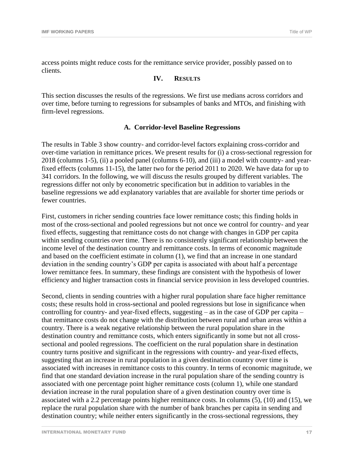access points might reduce costs for the remittance service provider, possibly passed on to clients.

#### **IV. RESULTS**

This section discusses the results of the regressions. We first use medians across corridors and over time, before turning to regressions for subsamples of banks and MTOs, and finishing with firm-level regressions.

#### **A. Corridor-level Baseline Regressions**

The results in Table 3 show country- and corridor-level factors explaining cross-corridor and over-time variation in remittance prices. We present results for (i) a cross-sectional regression for 2018 (columns 1-5), (ii) a pooled panel (columns 6-10), and (iii) a model with country- and yearfixed effects (columns 11-15), the latter two for the period 2011 to 2020. We have data for up to 341 corridors. In the following, we will discuss the results grouped by different variables. The regressions differ not only by econometric specification but in addition to variables in the baseline regressions we add explanatory variables that are available for shorter time periods or fewer countries.

First, customers in richer sending countries face lower remittance costs; this finding holds in most of the cross-sectional and pooled regressions but not once we control for country- and year fixed effects, suggesting that remittance costs do not change with changes in GDP per capita within sending countries over time. There is no consistently significant relationship between the income level of the destination country and remittance costs. In terms of economic magnitude and based on the coefficient estimate in column (1), we find that an increase in one standard deviation in the sending country's GDP per capita is associated with about half a percentage lower remittance fees. In summary, these findings are consistent with the hypothesis of lower efficiency and higher transaction costs in financial service provision in less developed countries.

Second, clients in sending countries with a higher rural population share face higher remittance costs; these results hold in cross-sectional and pooled regressions but lose in significance when controlling for country- and year-fixed effects, suggesting – as in the case of GDP per capita – that remittance costs do not change with the distribution between rural and urban areas within a country. There is a weak negative relationship between the rural population share in the destination country and remittance costs, which enters significantly in some but not all crosssectional and pooled regressions. The coefficient on the rural population share in destination country turns positive and significant in the regressions with country- and year-fixed effects, suggesting that an increase in rural population in a given destination country over time is associated with increases in remittance costs to this country. In terms of economic magnitude, we find that one standard deviation increase in the rural population share of the sending country is associated with one percentage point higher remittance costs (column 1), while one standard deviation increase in the rural population share of a given destination country over time is associated with a 2.2 percentage points higher remittance costs. In columns (5), (10) and (15), we replace the rural population share with the number of bank branches per capita in sending and destination country; while neither enters significantly in the cross-sectional regressions, they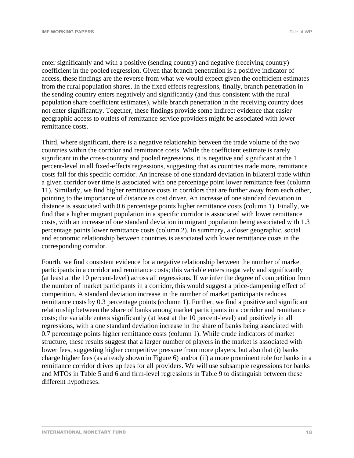enter significantly and with a positive (sending country) and negative (receiving country) coefficient in the pooled regression. Given that branch penetration is a positive indicator of access, these findings are the reverse from what we would expect given the coefficient estimates from the rural population shares. In the fixed effects regressions, finally, branch penetration in the sending country enters negatively and significantly (and thus consistent with the rural population share coefficient estimates), while branch penetration in the receiving country does not enter significantly. Together, these findings provide some indirect evidence that easier geographic access to outlets of remittance service providers might be associated with lower remittance costs.

Third, where significant, there is a negative relationship between the trade volume of the two countries within the corridor and remittance costs. While the coefficient estimate is rarely significant in the cross-country and pooled regressions, it is negative and significant at the 1 percent-level in all fixed-effects regressions, suggesting that as countries trade more, remittance costs fall for this specific corridor. An increase of one standard deviation in bilateral trade within a given corridor over time is associated with one percentage point lower remittance fees (column 11). Similarly, we find higher remittance costs in corridors that are further away from each other, pointing to the importance of distance as cost driver. An increase of one standard deviation in distance is associated with 0.6 percentage points higher remittance costs (column 1). Finally, we find that a higher migrant population in a specific corridor is associated with lower remittance costs, with an increase of one standard deviation in migrant population being associated with 1.3 percentage points lower remittance costs (column 2). In summary, a closer geographic, social and economic relationship between countries is associated with lower remittance costs in the corresponding corridor.

Fourth, we find consistent evidence for a negative relationship between the number of market participants in a corridor and remittance costs; this variable enters negatively and significantly (at least at the 10 percent-level) across all regressions. If we infer the degree of competition from the number of market participants in a corridor, this would suggest a price-dampening effect of competition. A standard deviation increase in the number of market participants reduces remittance costs by 0.3 percentage points (column 1). Further, we find a positive and significant relationship between the share of banks among market participants in a corridor and remittance costs; the variable enters significantly (at least at the 10 percent-level) and positively in all regressions, with a one standard deviation increase in the share of banks being associated with 0.7 percentage points higher remittance costs (column 1). While crude indicators of market structure, these results suggest that a larger number of players in the market is associated with lower fees, suggesting higher competitive pressure from more players, but also that (i) banks charge higher fees (as already shown in Figure 6) and/or (ii) a more prominent role for banks in a remittance corridor drives up fees for all providers. We will use subsample regressions for banks and MTOs in Table 5 and 6 and firm-level regressions in Table 9 to distinguish between these different hypotheses.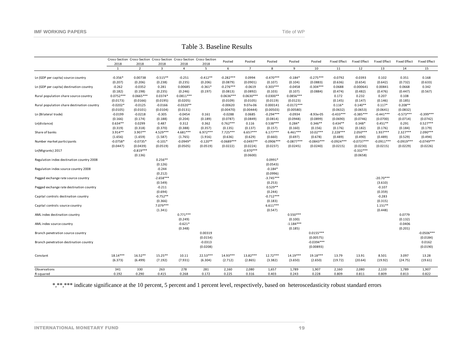Table 3. Baseline Results

|                                            |              | Cross-Section Cross-Section Cross-Section Cross-Section Cross-Section |                         |                |                | Pooled       |                | Pooled       |              |              | Fixed Effect |              | Fixed Effect Fixed Effect | Fixed Effect | <b>Fixed Effect</b> |
|--------------------------------------------|--------------|-----------------------------------------------------------------------|-------------------------|----------------|----------------|--------------|----------------|--------------|--------------|--------------|--------------|--------------|---------------------------|--------------|---------------------|
|                                            | 2018         | 2018                                                                  | 2018                    | 2018           | 2018           |              | Pooled         |              | Pooled       | Pooled       |              |              |                           |              |                     |
|                                            | $\mathbf{1}$ | $\overline{2}$                                                        | $\overline{\mathbf{3}}$ | $\overline{4}$ | 5 <sub>5</sub> | 6            | $\overline{7}$ | 8            | 9            | 10           | 11           | 12           | 13                        | 14           | 15                  |
|                                            |              |                                                                       |                         |                |                |              |                |              |              |              |              |              |                           |              |                     |
| Ln (GDP per capita) source country         | $-0.356*$    | 0.00738                                                               | $-0.515**$              | $-0.251$       | $-0.412**$     | $-0.282***$  | 0.0994         | $-0.470***$  | $-0.184*$    | $-0.275***$  | $-0.0792$    | $-0.0393$    | 0.102                     | 0.351        | 0.168               |
|                                            | (0.207)      | (0.206)                                                               | (0.238)                 | (0.235)        | (0.206)        | (0.0879)     | (0.0901)       | (0.107)      | (0.104)      | (0.0883)     | (0.636)      | (0.654)      | (0.642)                   | (0.732)      | (0.633)             |
| Ln (GDP per capita) destination country    | $-0.262$     | $-0.0352$                                                             | 0.281                   | 0.00685        | $-0.361*$      | $-0.276***$  | $-0.0619$      | $0.303***$   | $-0.0458$    | $-0.304***$  | 0.0688       | $-0.000641$  | 0.00841                   | 0.0668       | 0.342               |
|                                            | (0.182)      | (0.198)                                                               | (0.235)                 | (0.246)        | (0.197)        | (0.0813)     | (0.0892)       | (0.103)      | (0.107)      | (0.0884)     | (0.474)      | (0.482)      | (0.476)                   | (0.447)      | (0.567)             |
| Rural population share source country      | $0.0752***$  | $0.0665***$                                                           | $0.0374*$               | $0.0811***$    |                | $0.0636***$  | $0.0630***$    | $0.0300**$   | $0.0856***$  |              | 0.172        | 0.232        | 0.207                     | 0.108        |                     |
|                                            | (0.0173)     | (0.0166)                                                              | (0.0195)                | (0.0205)       |                | (0.0109)     | (0.0105)       | (0.0119)     | (0.0123)     |              | (0.145)      | (0.147)      | (0.146)                   | (0.185)      |                     |
| Rural population share destination country | $-0.0202*$   | $-0.0125$                                                             | $-0.0166$               | $-0.0320**$    |                | $-0.00620$   | 9.07e-06       | 0.000141     | $-0.0172***$ |              | $0.116*$     | $0.140**$    | $0.117*$                  | $0.208**$    |                     |
|                                            | (0.0105)     | (0.0101)                                                              | (0.0104)                | (0.0131)       |                | (0.00470)    | (0.00444)      | (0.00503)    | (0.00580)    |              | (0.0632)     | (0.0653)     | (0.0641)                  | (0.0832)     |                     |
| Ln (Bilateral trade)                       | $-0.0199$    | $-0.0218$                                                             | $-0.305$                | $-0.0454$      | 0.161          | $-0.0288$    | 0.0685         | $-0.294***$  | $-0.0934$    | $-8.93e-05$  | $-0.433***$  | $-0.385***$  | $-0.441***$               | $-0.573***$  | $-0.399***$         |
|                                            | (0.166)      | (0.174)                                                               | (0.188)                 | (0.204)        | (0.189)        | (0.0787)     | (0.0849)       | (0.0814)     | (0.0948)     | (0.0899)     | (0.0690)     | (0.0746)     | (0.0700)                  | (0.0714)     | (0.0742)            |
| Ln(distance)                               | $0.634**$    | 0.0299                                                                | 0.487                   | 0.312          | 0.362          | $0.762***$   | 0.116          | $0.538***$   | $0.284*$     | $0.346**$    | $0.434**$    | $0.348*$     | $0.451**$                 | 0.291        | $0.527***$          |
|                                            | (0.319)      | (0.318)                                                               | (0.370)                 | (0.388)        | (0.357)        | (0.135)      | (0.137)        | (0.157)      | (0.160)      | (0.156)      | (0.176)      | (0.182)      | (0.176)                   | (0.184)      | (0.179)             |
| Share of banks                             | 3.914**      | 3.907**                                                               | 4.529 ***               | 4.681***       | 6.972 ***      | $7.725***$   | $6.657***$     | $6.177***$   | $6.461***$   | $10.02***$   | $2.228***$   | $2.050***$   | $1.937***$                | $2.327***$   | 2.090 ***           |
|                                            | (1.656)      | (1.659)                                                               | (1.587)                 | (1.765)        | (1.916)        | (0.636)      | (0.629)        | (0.660)      | (0.697)      | (0.678)      | (0.489)      | (0.490)      | (0.489)                   | (0.529)      | (0.494)             |
| Number market participants                 | $-0.0758*$   | $-0.0735*$                                                            | $-0.101*$               | $-0.0949*$     | $-0.120**$     | $-0.0689***$ | $-0.0497**$    | $-0.0906***$ | $-0.0877***$ | $-0.0843***$ | $-0.0924***$ | $-0.0737***$ | $-0.0911***$              | $-0.0919***$ | $-0.0749***$        |
|                                            | (0.0447)     | (0.0439)                                                              | (0.0519)                | (0.0505)       | (0.0519)       | (0.0222)     | (0.0224)       | (0.0237)     | (0.0245)     | (0.0240)     | (0.0215)     | (0.0230)     | (0.0215)                  | (0.0229)     | (0.0226)            |
| Ln(Migrants) 2017                          |              | $-0.819***$                                                           |                         |                |                |              | $-0.970***$    |              |              |              |              | $-0.332***$  |                           |              |                     |
|                                            |              | (0.136)                                                               |                         |                |                |              | (0.0600)       |              |              |              |              | (0.0658)     |                           |              |                     |
| Regulation index destination country 2008  |              |                                                                       | $0.256**$               |                |                |              |                | $0.0991*$    |              |              |              |              |                           |              |                     |
|                                            |              |                                                                       | (0.126)                 |                |                |              |                | (0.0543)     |              |              |              |              |                           |              |                     |
| Regulation index source country 2008       |              |                                                                       | $-0.244$                |                |                |              |                | $-0.184*$    |              |              |              |              |                           |              |                     |
|                                            |              |                                                                       | (0.212)                 |                |                |              |                | (0.0996)     |              |              |              |              |                           |              |                     |
| Pegged exchange rate source country        |              |                                                                       | $-2.658***$             |                |                |              |                | $-3.745***$  |              |              |              |              | $-20.70***$               |              |                     |
|                                            |              |                                                                       | (0.549)                 |                |                |              |                | (0.253)      |              |              |              |              | (3.610)                   |              |                     |
| Pegged exchange rate destination country   |              |                                                                       | $-0.211$                |                |                |              |                | $0.529**$    |              |              |              |              | $-0.107$                  |              |                     |
|                                            |              |                                                                       | (0.694)                 |                |                |              |                | (0.244)      |              |              |              |              | (0.359)                   |              |                     |
|                                            |              |                                                                       | $-0.752**$              |                |                |              |                | $-0.712***$  |              |              |              |              | $-0.283$                  |              |                     |
| Capital controls destination country       |              |                                                                       |                         |                |                |              |                |              |              |              |              |              |                           |              |                     |
|                                            |              |                                                                       | (0.366)<br>7.079 ***    |                |                |              |                | (0.183)      |              |              |              |              | (0.315)                   |              |                     |
| Capital controls source country            |              |                                                                       |                         |                |                |              |                | $6.611***$   |              |              |              |              | $1.151**$                 |              |                     |
|                                            |              |                                                                       | (1.341)                 |                |                |              |                | (0.547)      |              |              |              |              | (0.448)                   |              |                     |
| AML index destination country              |              |                                                                       |                         | $0.771***$     |                |              |                |              | $0.550***$   |              |              |              |                           | 0.0779       |                     |
|                                            |              |                                                                       |                         | (0.249)        |                |              |                |              | (0.100)      |              |              |              |                           | (0.132)      |                     |
| AML index source country                   |              |                                                                       |                         | $-0.621*$      |                |              |                |              | $-1.184***$  |              |              |              |                           | $-0.0406$    |                     |
|                                            |              |                                                                       |                         | (0.348)        |                |              |                |              | (0.185)      |              |              |              |                           | (0.201)      |                     |
| Branch penetration source country          |              |                                                                       |                         |                | 0.00319        |              |                |              |              | $0.0155***$  |              |              |                           |              | $-0.0506***$        |
|                                            |              |                                                                       |                         |                | (0.0154)       |              |                |              |              | (0.00575)    |              |              |                           |              | (0.0184)            |
| Branch penetration destination country     |              |                                                                       |                         |                | $-0.0313$      |              |                |              |              | $-0.0394***$ |              |              |                           |              | 0.0162              |
|                                            |              |                                                                       |                         |                | (0.0208)       |              |                |              |              | (0.00893)    |              |              |                           |              | (0.0190)            |
|                                            |              |                                                                       |                         |                |                |              |                |              |              |              |              |              |                           |              |                     |
| Constant                                   | $18.14***$   | 16.52**                                                               | 15.25**                 | 10.11          | 22.53***       | 14.93***     | 13.82***       | 12.72***     | 14.19***     | 19.18***     | 13.79        | 13.91        | 8.501                     | 3.097        | 13.28               |
|                                            | (6.373)      | (6.499)                                                               | (7.192)                 | (7.931)        | (6.304)        | (2.712)      | (2.865)        | (3.382)      | (3.650)      | (2.650)      | (19.72)      | (20.64)      | (19.92)                   | (24.75)      | (19.61)             |
|                                            |              |                                                                       |                         |                |                |              |                |              |              |              |              |              |                           |              |                     |
| Observations                               | 341          | 330                                                                   | 263                     | 278            | 281            | 2,160        | 2,080          | 1,657        | 1,789        | 1,907        | 2,160        | 2,080        | 2,133                     | 1,789        | 1,907               |
| R-squared                                  | 0.192        | 0.290                                                                 | 0.415                   | 0.268          | 0.172          | 0.225        | 0.316          | 0.403        | 0.243        | 0.228        | 0.809        | 0.811        | 0.809                     | 0.813        | 0.822               |

\*,\*\*,\*\*\* indicate significance at the 10 percent, 5 percent and 1 percent level, respectively, based on heteroscedasticity robust standard errors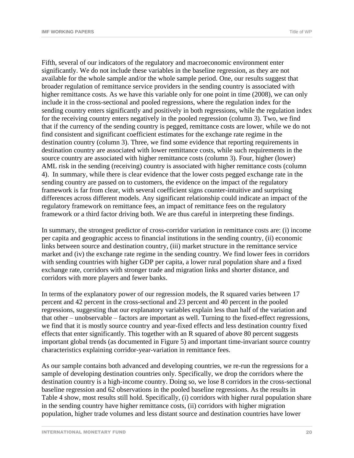Fifth, several of our indicators of the regulatory and macroeconomic environment enter significantly. We do not include these variables in the baseline regression, as they are not available for the whole sample and/or the whole sample period. One, our results suggest that broader regulation of remittance service providers in the sending country is associated with higher remittance costs. As we have this variable only for one point in time (2008), we can only include it in the cross-sectional and pooled regressions, where the regulation index for the sending country enters significantly and positively in both regressions, while the regulation index for the receiving country enters negatively in the pooled regression (column 3). Two, we find that if the currency of the sending country is pegged, remittance costs are lower, while we do not find consistent and significant coefficient estimates for the exchange rate regime in the destination country (column 3). Three, we find some evidence that reporting requirements in destination country are associated with lower remittance costs, while such requirements in the source country are associated with higher remittance costs (column 3). Four, higher (lower) AML risk in the sending (receiving) country is associated with higher remittance costs (column 4). In summary, while there is clear evidence that the lower costs pegged exchange rate in the sending country are passed on to customers, the evidence on the impact of the regulatory framework is far from clear, with several coefficient signs counter-intuitive and surprising differences across different models. Any significant relationship could indicate an impact of the regulatory framework on remittance fees, an impact of remittance fees on the regulatory framework or a third factor driving both. We are thus careful in interpreting these findings.

In summary, the strongest predictor of cross-corridor variation in remittance costs are: (i) income per capita and geographic access to financial institutions in the sending country, (ii) economic links between source and destination country, (iii) market structure in the remittance service market and (iv) the exchange rate regime in the sending country. We find lower fees in corridors with sending countries with higher GDP per capita, a lower rural population share and a fixed exchange rate, corridors with stronger trade and migration links and shorter distance, and corridors with more players and fewer banks.

In terms of the explanatory power of our regression models, the R squared varies between 17 percent and 42 percent in the cross-sectional and 23 percent and 40 percent in the pooled regressions, suggesting that our explanatory variables explain less than half of the variation and that other – unobservable – factors are important as well. Turning to the fixed-effect regressions, we find that it is mostly source country and year-fixed effects and less destination country fixed effects that enter significantly. This together with an R squared of above 80 percent suggests important global trends (as documented in Figure 5) and important time-invariant source country characteristics explaining corridor-year-variation in remittance fees.

As our sample contains both advanced and developing countries, we re-run the regressions for a sample of developing destination countries only. Specifically, we drop the corridors where the destination country is a high-income country. Doing so, we lose 8 corridors in the cross-sectional baseline regression and 62 observations in the pooled baseline regressions. As the results in Table 4 show, most results still hold. Specifically, (i) corridors with higher rural population share in the sending country have higher remittance costs, (ii) corridors with higher migration population, higher trade volumes and less distant source and destination countries have lower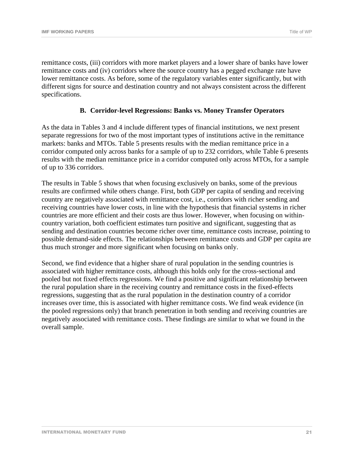remittance costs, (iii) corridors with more market players and a lower share of banks have lower remittance costs and (iv) corridors where the source country has a pegged exchange rate have lower remittance costs. As before, some of the regulatory variables enter significantly, but with different signs for source and destination country and not always consistent across the different specifications.

#### **B. Corridor-level Regressions: Banks vs. Money Transfer Operators**

As the data in Tables 3 and 4 include different types of financial institutions, we next present separate regressions for two of the most important types of institutions active in the remittance markets: banks and MTOs. Table 5 presents results with the median remittance price in a corridor computed only across banks for a sample of up to 232 corridors, while Table 6 presents results with the median remittance price in a corridor computed only across MTOs, for a sample of up to 336 corridors.

The results in Table 5 shows that when focusing exclusively on banks, some of the previous results are confirmed while others change. First, both GDP per capita of sending and receiving country are negatively associated with remittance cost, i.e., corridors with richer sending and receiving countries have lower costs, in line with the hypothesis that financial systems in richer countries are more efficient and their costs are thus lower. However, when focusing on withincountry variation, both coefficient estimates turn positive and significant, suggesting that as sending and destination countries become richer over time, remittance costs increase, pointing to possible demand-side effects. The relationships between remittance costs and GDP per capita are thus much stronger and more significant when focusing on banks only.

Second, we find evidence that a higher share of rural population in the sending countries is associated with higher remittance costs, although this holds only for the cross-sectional and pooled but not fixed effects regressions. We find a positive and significant relationship between the rural population share in the receiving country and remittance costs in the fixed-effects regressions, suggesting that as the rural population in the destination country of a corridor increases over time, this is associated with higher remittance costs. We find weak evidence (in the pooled regressions only) that branch penetration in both sending and receiving countries are negatively associated with remittance costs. These findings are similar to what we found in the overall sample.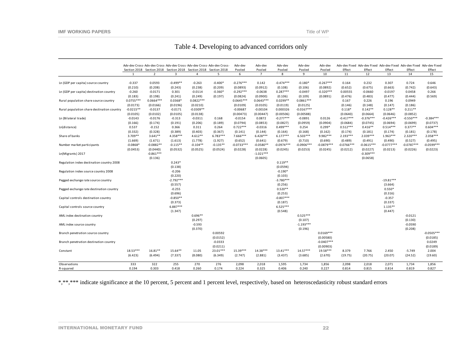| Table 4. Developing to advanced corridors only |  |  |
|------------------------------------------------|--|--|
|                                                |  |  |

|                                            |             |                |             |                                                                  | Adv-dev Cross-Adv-dev Cross-Adv-dev Cross-Adv-dev Cross-Adv-dev Cross- | Adv-dev      | Adv-dev        | Adv-dev      | Adv-dev      | Adv-dev      |              | Adv-dev Fixed Adv-dev Fixed Adv-dev Fixed Adv-dev Fixed Adv-dev Fixed |              |              |              |
|--------------------------------------------|-------------|----------------|-------------|------------------------------------------------------------------|------------------------------------------------------------------------|--------------|----------------|--------------|--------------|--------------|--------------|-----------------------------------------------------------------------|--------------|--------------|--------------|
|                                            |             |                |             | Section 2018 Section 2018 Section 2018 Section 2018 Section 2018 |                                                                        | Pooled       | Pooled         | Pooled       | Pooled       | Pooled       | Effect       | Effect                                                                | Effect       | Effect       | Effect       |
|                                            |             | $\overline{2}$ | 3           | 4                                                                | 5                                                                      | 6            | $\overline{7}$ | 8            | 9            | 10           | 11           | 12                                                                    | 13           | 14           | 15           |
|                                            |             |                |             |                                                                  |                                                                        |              |                |              |              |              |              |                                                                       |              |              |              |
| Ln (GDP per capita) source country         | $-0.337$    | 0.0593         | $-0.499**$  | $-0.263$                                                         | $-0.400*$                                                              | $-0.276***$  | 0.142          | $-0.474***$  | $-0.180*$    | $-0.267***$  | 0.164        | 0.232                                                                 | 0.307        | 0.724        | 0.646        |
|                                            | (0.210)     | (0.208)        | (0.243)     | (0.238)                                                          | (0.209)                                                                | (0.0893)     | (0.0912)       | (0.108)      | (0.106)      | (0.0892)     | (0.652)      | (0.675)                                                               | (0.663)      | (0.742)      | (0.643)      |
| Ln (GDP per capita) destination country    | $-0.260$    | $-0.0171$      | 0.301       | $-0.0114$                                                        | $-0.360*$                                                              | $-0.292***$  | $-0.0638$      | $0.287***$   | $-0.0497$    | $-0.320***$  | 0.00555      | $-0.0660$                                                             | $-0.0197$    | 0.0458       | 0.266        |
|                                            | (0.183)     | (0.198)        | (0.241)     | (0.249)                                                          | (0.197)                                                                | (0.0824)     | (0.0900)       | (0.106)      | (0.109)      | (0.0891)     | (0.476)      | (0.483)                                                               | (0.477)      | (0.444)      | (0.569)      |
| Rural population share source country      | $0.0755***$ | $0.0664***$    | $0.0368*$   | $0.0822***$                                                      |                                                                        | $0.0645***$  | $0.0643***$    | $0.0299**$   | $0.0861***$  |              | 0.167        | 0.226                                                                 | 0.196        | 0.0949       |              |
|                                            | (0.0173)    | (0.0166)       | (0.0196)    | (0.0210)                                                         |                                                                        | (0.0109)     | (0.0105)       | (0.0119)     | (0.0125)     |              | (0.146)      | (0.148)                                                               | (0.147)      | (0.186)      |              |
| Rural population share destination country | $-0.0215**$ | $-0.0137$      | $-0.0171$   | $-0.0309**$                                                      |                                                                        | $-0.00687$   | $-0.00104$     | 0.000326     | $-0.0167***$ |              | $0.118*$     | $0.142**$                                                             | $0.128**$    | $0.211**$    |              |
|                                            | (0.0105)    | (0.0102)       | (0.0105)    | (0.0138)                                                         |                                                                        | (0.00473)    | (0.00447)      | (0.00506)    | (0.00588)    |              | (0.0640)     | (0.0664)                                                              | (0.0646)     | (0.0852)     |              |
| Ln (Bilateral trade)                       | $-0.0143$   | $-0.0176$      | $-0.313$    | $-0.0311$                                                        | 0.168                                                                  | $-0.0154$    | 0.0872         | $-0.277***$  | $-0.0891$    | 0.0126       | $-0.417***$  | $-0.376***$                                                           | $-0.426***$  | $-0.550***$  | $-0.384***$  |
|                                            | (0.166)     | (0.174)        | (0.191)     | (0.206)                                                          | (0.189)                                                                | (0.0794)     | (0.0853)       | (0.0827)     | (0.0959)     | (0.0904)     | (0.0684)     | (0.0745)                                                              | (0.0694)     | (0.0699)     | (0.0737)     |
| Ln(distance)                               | 0.537       | $-0.152$       | 0.366       | 0.311                                                            | 0.264                                                                  | $0.722***$   | $-0.0316$      | $0.499***$   | 0.254        | $0.299*$     | $0.512***$   | $0.416**$                                                             | $0.514***$   | $0.377**$    | $0.604***$   |
|                                            | (0.332)     | (0.328)        | (0.389)     | (0.403)                                                          | (0.367)                                                                | (0.141)      | (0.144)        | (0.164)      | (0.168)      | (0.162)      | (0.174)      | (0.181)                                                               | (0.174)      | (0.181)      | (0.178)      |
| Share of banks                             | 3.709**     | $3.641**$      | $4.358***$  | $4.612**$                                                        | $6.783***$                                                             | 7.666***     | $6.428***$     | $6.177***$   | $6.503***$   | 9.982 ***    | $2.193***$   | $2.039***$                                                            | $1.963***$   | $2.320***$   | $2.058***$   |
|                                            | (1.669)     | (1.671)        | (1.613)     | (1.778)                                                          | (1.927)                                                                | (0.652)      | (0.641)        | (0.679)      | (0.710)      | (0.690)      | (0.489)      | (0.491)                                                               | (0.490)      | (0.527)      | (0.495)      |
| Number market participants                 | $-0.0868*$  | $-0.0882**$    | $-0.115**$  | $-0.104**$                                                       | $-0.135**$                                                             | $-0.0733***$ | $-0.0580**$    | $-0.0974***$ | $-0.0906***$ | $-0.0879***$ | $-0.0766***$ | $-0.0615***$                                                          | $-0.0777***$ | $-0.0787***$ | $-0.0599***$ |
|                                            | (0.0453)    | (0.0440)       | (0.0532)    | (0.0525)                                                         | (0.0524)                                                               | (0.0228)     | (0.0228)       | (0.0245)     | (0.0253)     | (0.0245)     | (0.0212)     | (0.0227)                                                              | (0.0213)     | (0.0226)     | (0.0223)     |
| Ln(Migrants) 2017                          |             | $-0.861***$    |             |                                                                  |                                                                        |              | $-1.021***$    |              |              |              |              | $-0.309***$                                                           |              |              |              |
|                                            |             | (0.136)        |             |                                                                  |                                                                        |              | (0.0605)       |              |              |              |              | (0.0658)                                                              |              |              |              |
| Regulation index destination country 2008  |             |                | $0.243*$    |                                                                  |                                                                        |              |                | $0.119**$    |              |              |              |                                                                       |              |              |              |
|                                            |             |                | (0.138)     |                                                                  |                                                                        |              |                | (0.0594)     |              |              |              |                                                                       |              |              |              |
| Regulation index source country 2008       |             |                | $-0.206$    |                                                                  |                                                                        |              |                | $-0.190*$    |              |              |              |                                                                       |              |              |              |
|                                            |             |                | (0.220)     |                                                                  |                                                                        |              |                | (0.103)      |              |              |              |                                                                       |              |              |              |
| Pegged exchange rate source country        |             |                | $-2.792***$ |                                                                  |                                                                        |              |                | $-3.780***$  |              |              |              |                                                                       | $-19.81***$  |              |              |
|                                            |             |                | (0.557)     |                                                                  |                                                                        |              |                | (0.256)      |              |              |              |                                                                       | (3.664)      |              |              |
| Pegged exchange rate destination country   |             |                | $-0.255$    |                                                                  |                                                                        |              |                | $0.520**$    |              |              |              |                                                                       | $0.550*$     |              |              |
|                                            |             |                | (0.696)     |                                                                  |                                                                        |              |                | (0.253)      |              |              |              |                                                                       | (0.316)      |              |              |
| Capital controls destination country       |             |                | $-0.850**$  |                                                                  |                                                                        |              |                | $-0.807***$  |              |              |              |                                                                       | $-0.357$     |              |              |
|                                            |             |                | (0.373)     |                                                                  |                                                                        |              |                | (0.187)      |              |              |              |                                                                       | (0.337)      |              |              |
| Capital controls source country            |             |                | $6.887***$  |                                                                  |                                                                        |              |                | $6.525***$   |              |              |              |                                                                       | $1.135**$    |              |              |
|                                            |             |                | (1.347)     |                                                                  |                                                                        |              |                | (0.548)      |              |              |              |                                                                       | (0.447)      |              |              |
| AML index destination country              |             |                |             | $0.696**$                                                        |                                                                        |              |                |              | $0.525***$   |              |              |                                                                       |              | $-0.0121$    |              |
|                                            |             |                |             | (0.297)                                                          |                                                                        |              |                |              | (0.107)      |              |              |                                                                       |              | (0.130)      |              |
| AML index source country                   |             |                |             | $-0.593$                                                         |                                                                        |              |                |              | $-1.193***$  |              |              |                                                                       |              | $-0.0590$    |              |
|                                            |             |                |             | (0.370)                                                          |                                                                        |              |                |              | (0.196)      |              |              |                                                                       |              | (0.208)      |              |
| Branch penetration source country          |             |                |             |                                                                  | 0.00592                                                                |              |                |              |              | $0.0169***$  |              |                                                                       |              |              | $-0.0505***$ |
|                                            |             |                |             |                                                                  | (0.0152)                                                               |              |                |              |              | (0.00580)    |              |                                                                       |              |              | (0.0185)     |
| Branch penetration destination country     |             |                |             |                                                                  | $-0.0333$                                                              |              |                |              |              | $-0.0407***$ |              |                                                                       |              |              | 0.0249       |
|                                            |             |                |             |                                                                  | (0.0211)                                                               |              |                |              |              | (0.00903)    |              |                                                                       |              |              | (0.0189)     |
| Constant                                   | $18.53***$  | $16.81**$      | 15.64**     | 11.05                                                            | 23.01***                                                               | 15.39***     | 14.38***       | $13.41***$   | $14.57***$   | 19.58***     | 8.379        | 7.766                                                                 | 2.450        | $-5.749$     | 2.004        |
|                                            | (6.423)     | (6.494)        | (7.337)     | (8.080)                                                          | (6.349)                                                                | (2.747)      | (2.881)        | (3.437)      | (3.685)      | (2.670)      | (19.75)      | (20.75)                                                               | (20.07)      | (24.52)      | (19.60)      |
| Observations                               | 333         | 322            | 255         | 270                                                              | 276                                                                    | 2,098        | 2,018          | 1,595        | 1,734        | 1,856        | 2,098        | 2,018                                                                 | 2,071        | 1,734        | 1,856        |
| R-squared                                  | 0.194       | 0.303          | 0.418       | 0.260                                                            | 0.174                                                                  | 0.224        | 0.325          | 0.406        | 0.240        | 0.227        | 0.814        | 0.815                                                                 | 0.814        | 0.819        | 0.827        |

\*,\*\*,\*\*\* indicate significance at the 10 percent, 5 percent and 1 percent level, respectively, based on heteroscedasticity robust standard errors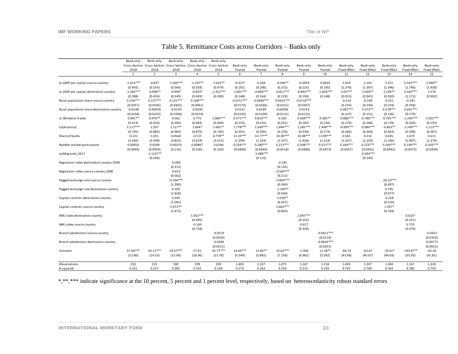|                                            | Bank-only   | Bank-only      | Bank-only                                                             | Bank-only      | Bank-only      |             |                |             |                |              |                     |                     |                     |                     |                     |
|--------------------------------------------|-------------|----------------|-----------------------------------------------------------------------|----------------|----------------|-------------|----------------|-------------|----------------|--------------|---------------------|---------------------|---------------------|---------------------|---------------------|
|                                            |             |                | Cross-Section Cross-Section Cross-Section Cross-Section Cross-Section |                |                | Bank-only   | Bank-only      | Bank-only   | Bank-only      | Bank-only    | Bank-only           | Bank-only           | Bank-only           | Bank-only           | Bank-only           |
|                                            | 2018        | 2018           | 2018                                                                  | 2018           | 2018           | Pooled      | Pooled         | Pooled      | Pooled         | Pooled       | <b>Fixed Effect</b> | <b>Fixed Effect</b> | <b>Fixed Effect</b> | <b>Fixed Effect</b> | <b>Fixed Effect</b> |
|                                            | 1           | $\overline{2}$ | $\overline{3}$                                                        | $\overline{4}$ | 5 <sup>1</sup> | 6           | $\overline{7}$ | 8           | $\overline{9}$ | 10           | 11                  | 12                  | 13                  | 14                  | 15                  |
|                                            |             |                |                                                                       |                |                |             |                |             |                |              |                     |                     |                     |                     |                     |
| Ln (GDP per capita) source country         | $-1.414***$ | $-0.837$       | $-1.569***$                                                           | $-1.197**$     | $-1.025**$     | $-0.323*$   | 0.268          | $-0.596**$  | $-0.0993$      | 0.0634       | 2.054               | 2.103               | 2.251               | $5.542***$          | $2.940**$           |
|                                            | (0.493)     | (0.554)        | (0.566)                                                               | (0.559)        | (0.479)        | (0.191)     | (0.206)        | (0.232)     | (0.225)        | (0.185)      | (1.376)             | (1.397)             | (1.396)             | (1.746)             | (1.458)             |
| Ln (GDP per capita) destination country    | $-1.282***$ | $-0.998**$     | $-0.996*$                                                             | $-0.833*$      | $-1.352***$    | $-1.001***$ | $-0.840***$    | $-0.811***$ | $-0.843***$    | $-1.003***$  | $2.057**$           | $2.059**$           | $2.109**$           | $3.160***$          | 1.576               |
|                                            | (0.388)     | (0.454)        | (0.549)                                                               | (0.493)        | (0.399)        | (0.148)     | (0.164)        | (0.229)     | (0.194)        | (0.148)      | (0.953)             | (0.943)             | (0.950)             | (1.173)             | (0.992)             |
| Rural population share source country      | $0.156***$  | $0.137***$     | $0.131***$                                                            | $0.168***$     |                | $0.0751***$ | $0.0698***$    | $0.0631***$ | $0.0710***$    |              | $-0.214$            | $-0.199$            | $-0.221$            | $-0.191$            |                     |
|                                            | (0.0357)    | (0.0356)       | (0.0401)                                                              | (0.0461)       |                | (0.0176)    | (0.0166)       | (0.0212)    | (0.0207)       |              | (0.254)             | (0.258)             | (0.254)             | (0.358)             |                     |
| Rural population share destination country | $-0.0148$   | $-0.00976$     | $-0.0159$                                                             | $-0.0435$      |                | 0.0141      | 0.0149         | 0.00304     | $-0.0159$      |              | $0.387***$          | $0.372**$           | $0.378***$          | $0.645***$          |                     |
|                                            | (0.0258)    | (0.0253)       | (0.0296)                                                              | (0.0319)       |                | (0.0105)    | (0.0100)       | (0.0121)    | (0.0122)       |              | (0.147)             | (0.151)             | (0.146)             | (0.179)             |                     |
| Ln (Bilateral trade)                       | $0.991**$   | $0.970**$      | 0.562                                                                 | 0.775          | $1.060***$     | $0.571***$  | $0.816***$     | 0.330       | $0.569***$     | $0.385**$    | $-0.886***$         | $-0.786***$         | $-0.791***$         | $-1.240***$         | $-1.025***$         |
|                                            | (0.413)     | (0.424)        | (0.500)                                                               | (0.483)        | (0.408)        | (0.155)     | (0.155)        | (0.201)     | (0.182)        | (0.156)      | (0.179)             | (0.188)             | (0.178)             | (0.204)             | (0.193)             |
| Ln(distance)                               | $2.117***$  | 1.297          | $2.127**$                                                             | $1.604*$       | $1.665**$      | $1.778***$  | $1.049***$     | $1.844***$  | $1.285***$     | $1.408***$   | $-0.990***$         | $-0.984***$         | $-0.803**$          | $-1.549***$         | $-1.113***$         |
|                                            | (0.795)     | (0.885)        | (0.983)                                                               | (0.875)        | (0.740)        | (0.291)     | (0.305)        | (0.376)     | (0.339)        | (0.273)      | (0.366)             | (0.369)             | (0.363)             | (0.398)             | (0.387)             |
| Share of banks                             | $-0.221$    | 1.031          | 0.0564                                                                | $-0.515$       | $6.778**$      | $11.33***$  | $10.77***$     | 10.38***    | $10.08***$     | 13.99***     | 0.565               | 0.210               | 0.645               | 1.670               | 0.611               |
|                                            | (3.340)     | (3.309)        | (3.825)                                                               | (3.619)        | (3.012)        | (1.299)     | (1.243)        | (1.537)     | (1.426)        | (1.214)      | (1.247)             | (1.229)             | (1.246)             | (1.407)             | (1.279)             |
| Number market participants                 | 0.00454     | 0.0509         | 0.00253                                                               | 0.00867        | 0.0294         | $0.256***$  | $0.280***$     | $0.213***$  | $0.308***$     | $0.311***$   | $0.184***$          | $0.223***$          | $0.169***$          | $0.194***$          | $0.203***$          |
|                                            | (0.0956)    | (0.0954)       | (0.110)                                                               | (0.100)        | (0.103)        | (0.0460)    | (0.0446)       | (0.0514)    | (0.0480)       | (0.0473)     | (0.0437)            | (0.0441)            | (0.0442)            | (0.0473)            | (0.0459)            |
| Ln(Migrants) 2017                          |             | $-1.123***$    |                                                                       |                |                |             | $-1.488***$    |             |                |              |                     | $-0.594***$         |                     |                     |                     |
|                                            |             | (0.266)        |                                                                       |                |                |             | (0.115)        |             |                |              |                     | (0.140)             |                     |                     |                     |
| Regulation index destination country 2008  |             |                | $-0.499$                                                              |                |                |             |                | $-0.185$    |                |              |                     |                     |                     |                     |                     |
|                                            |             |                | (0.313)                                                               |                |                |             |                | (0.132)     |                |              |                     |                     |                     |                     |                     |
| Regulation index source country 2008       |             |                | $-0.613$                                                              |                |                |             |                | $-0.560***$ |                |              |                     |                     |                     |                     |                     |
|                                            |             |                | (0.562)                                                               |                |                |             |                | (0.212)     |                |              |                     |                     |                     |                     |                     |
| Pegged exchange rate source country        |             |                | $-4.204***$                                                           |                |                |             |                | $-3.894***$ |                |              |                     |                     | $-28.10***$         |                     |                     |
|                                            |             |                | (1.299)                                                               |                |                |             |                | (0.549)     |                |              |                     |                     | (6.497)             |                     |                     |
| Pegged exchange rate destination country   |             |                | 0.109                                                                 |                |                |             |                | $-1.160**$  |                |              |                     |                     | 0.795               |                     |                     |
|                                            |             |                | (1.620)                                                               |                |                |             |                | (0.546)     |                |              |                     |                     | (0.977)             |                     |                     |
| Capital controls destination country       |             |                | 0.349                                                                 |                |                |             |                | $1.018**$   |                |              |                     |                     | $-0.228$            |                     |                     |
|                                            |             |                | (1.005)                                                               |                |                |             |                | (0.437)     |                |              |                     |                     | (0.520)             |                     |                     |
| Capital controls source country            |             |                | 5.972**                                                               |                |                |             |                | $5.662***$  |                |              |                     |                     | 1.397*              |                     |                     |
|                                            |             |                | (2.472)                                                               |                |                |             |                | (0.864)     |                |              |                     |                     | (0.764)             |                     |                     |
| AML index destination country              |             |                |                                                                       | $1.832***$     |                |             |                |             | $2.097***$     |              |                     |                     |                     | $0.610*$            |                     |
|                                            |             |                |                                                                       | (0.605)        |                |             |                |             | (0.242)        |              |                     |                     |                     | (0.351)             |                     |
| AML index source country                   |             |                |                                                                       | $-0.169$       |                |             |                |             | $-0.417$       |              |                     |                     |                     | 0.733               |                     |
|                                            |             |                |                                                                       | (0.718)        |                |             |                |             | (0.328)        |              |                     |                     |                     | (0.470)             |                     |
| Branch penetration source country          |             |                |                                                                       |                | $-0.0519$      |             |                |             |                | $-0.0411***$ |                     |                     |                     |                     | $-0.0421$           |
|                                            |             |                |                                                                       |                | (0.0450)       |             |                |             |                | (0.0119)     |                     |                     |                     |                     | (0.0359)            |
| Branch penetration destination country     |             |                |                                                                       |                | $-0.0290$      |             |                |             |                | $-0.0624***$ |                     |                     |                     |                     | $-0.00771$          |
|                                            |             |                |                                                                       |                | (0.0521)       |             |                |             |                | (0.0201)     |                     |                     |                     |                     | (0.0651)            |
| Constant                                   | 47.04***    | $43.13***$     | 54.57***                                                              | 27.91          | 42.77***       | 14.44***    | 13.60**        | 23.62***    | $-1.304$       | 12.38**      | $-66.74$            | $-63.67$            | $-76.61*$           | $-195.6***$         | $-62.20$            |
|                                            | (13.80)     | (14.55)        | (15.96)                                                               | (16.96)        | (13.78)        | (5.549)     | (5.861)        | (7.156)     | (6.982)        | (5.092)      | (43.68)             | (45.07)             | (44.03)             | (55.92)             | (41.81)             |
|                                            |             |                |                                                                       |                |                |             |                |             |                |              |                     |                     |                     |                     |                     |
| Observations                               | 232         | 223            | 180                                                                   | 199            | 209            | 1,403       | 1,337          | 1,075       | 1,167          | 1,318        | 1,403               | 1,337               | 1,384               | 1,167               | 1,318               |

R-squared 0.161 0.227 0.282 0.192 0.100 0.173 0.262 0.250 0.215 0.193 0.762 0.769 0.764 0.780 0.759

Table 5. Remittance Costs across Corridors – Banks only

\*,\*\*,\*\*\* indicate significance at the 10 percent, 5 percent and 1 percent level, respectively, based on heteroscedasticity robust standard errors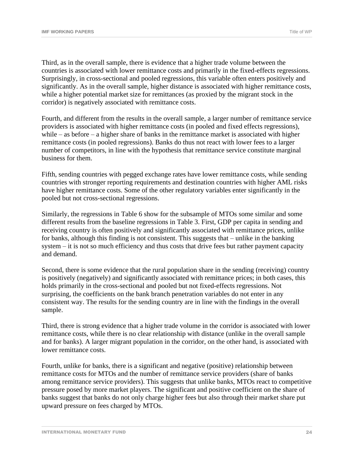Third, as in the overall sample, there is evidence that a higher trade volume between the countries is associated with lower remittance costs and primarily in the fixed-effects regressions. Surprisingly, in cross-sectional and pooled regressions, this variable often enters positively and significantly. As in the overall sample, higher distance is associated with higher remittance costs, while a higher potential market size for remittances (as proxied by the migrant stock in the corridor) is negatively associated with remittance costs.

Fourth, and different from the results in the overall sample, a larger number of remittance service providers is associated with higher remittance costs (in pooled and fixed effects regressions), while – as before – a higher share of banks in the remittance market is associated with higher remittance costs (in pooled regressions). Banks do thus not react with lower fees to a larger number of competitors, in line with the hypothesis that remittance service constitute marginal business for them.

Fifth, sending countries with pegged exchange rates have lower remittance costs, while sending countries with stronger reporting requirements and destination countries with higher AML risks have higher remittance costs. Some of the other regulatory variables enter significantly in the pooled but not cross-sectional regressions.

Similarly, the regressions in Table 6 show for the subsample of MTOs some similar and some different results from the baseline regressions in Table 3. First, GDP per capita in sending and receiving country is often positively and significantly associated with remittance prices, unlike for banks, although this finding is not consistent. This suggests that – unlike in the banking system – it is not so much efficiency and thus costs that drive fees but rather payment capacity and demand.

Second, there is some evidence that the rural population share in the sending (receiving) country is positively (negatively) and significantly associated with remittance prices; in both cases, this holds primarily in the cross-sectional and pooled but not fixed-effects regressions. Not surprising, the coefficients on the bank branch penetration variables do not enter in any consistent way. The results for the sending country are in line with the findings in the overall sample.

Third, there is strong evidence that a higher trade volume in the corridor is associated with lower remittance costs, while there is no clear relationship with distance (unlike in the overall sample and for banks). A larger migrant population in the corridor, on the other hand, is associated with lower remittance costs.

Fourth, unlike for banks, there is a significant and negative (positive) relationship between remittance costs for MTOs and the number of remittance service providers (share of banks among remittance service providers). This suggests that unlike banks, MTOs react to competitive pressure posed by more market players. The significant and positive coefficient on the share of banks suggest that banks do not only charge higher fees but also through their market share put upward pressure on fees charged by MTOs.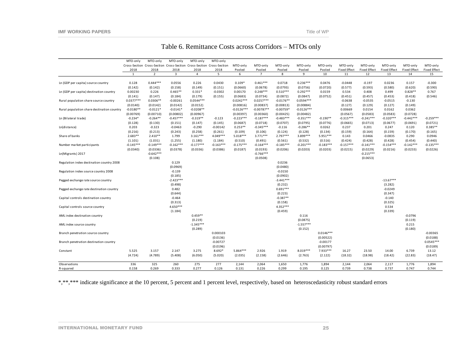| Table 6. Remittance Costs across Corridors - MTOs only |  |  |  |
|--------------------------------------------------------|--|--|--|
|--------------------------------------------------------|--|--|--|

|                                            | MTO-only    | MTO-only       | MTO-only       | MTO-only                                                              | MTO-only    |              |                |             |              |             |                     |                     |                     |                     |                     |
|--------------------------------------------|-------------|----------------|----------------|-----------------------------------------------------------------------|-------------|--------------|----------------|-------------|--------------|-------------|---------------------|---------------------|---------------------|---------------------|---------------------|
|                                            |             |                |                | Cross-Section Cross-Section Cross-Section Cross-Section Cross-Section |             | MTO-only     | MTO-only       | MTO-only    | MTO-only     | MTO-only    | MTO-only            | MTO-only            | MTO-only            | MTO-only            | MTO-only            |
|                                            | 2018        | 2018           | 2018           | 2018                                                                  | 2018        | Pooled       | Pooled         | Pooled      | Pooled       | Pooled      | <b>Fixed Effect</b> | <b>Fixed Effect</b> | <b>Fixed Effect</b> | <b>Fixed Effect</b> | <b>Fixed Effect</b> |
|                                            | 1           | $\overline{2}$ | $\overline{3}$ | $\overline{4}$                                                        | 5           | 6            | $\overline{7}$ | 8           | 9            | 10          | 11                  | 12                  | 13                  | 14                  | 15                  |
|                                            |             |                |                |                                                                       |             |              |                |             |              |             |                     |                     |                     |                     |                     |
| Ln (GDP per capita) source country         | 0.128       | $0.444***$     | 0.0556         | 0.226                                                                 | 0.0430      | $0.109*$     | $0.461***$     | 0.0718      | $0.236***$   | 0.0476      | $-0.0448$           | $-0.197$            | 0.0236              | 0.157               | $-0.300$            |
|                                            | (0.142)     | (0.142)        | (0.158)        | (0.149)                                                               | (0.151)     | (0.0660)     | (0.0678)       | (0.0793)    | (0.0756)     | (0.0720)    | (0.577)             | (0.593)             | (0.580)             | (0.620)             | (0.590)             |
| Ln (GDP per capita) destination country    | 0.00230     | 0.226          | $0.465**$      | $0.331*$                                                              | $-0.0302$   | 0.00170      | $0.248***$     | $0.510***$  | $0.292***$   | 0.0159      | 0.534               | 0.408               | 0.499               | $0.828**$           | 0.767               |
|                                            | (0.141)     | (0.147)        | (0.184)        | (0.179)                                                               | (0.155)     | (0.0683)     | (0.0734)       | (0.0872)    | (0.0847)     | (0.0752)    | (0.451)             | (0.457)             | (0.453)             | (0.418)             | (0.546)             |
| Rural population share source country      | $0.0377***$ | $0.0306**$     | $-0.00261$     | $0.0544***$                                                           |             | $0.0242***$  | $0.0257***$    | $-0.0176**$ | $0.0594***$  |             | $-0.0638$           | $-0.0535$           | $-0.0515$           | $-0.130$            |                     |
|                                            | (0.0140)    | (0.0142)       | (0.0142)       | (0.0152)                                                              |             | (0.00816)    | (0.00837)      | (0.00813)   | (0.00884)    |             | (0.127)             | (0.129)             | (0.127)             | (0.149)             |                     |
| Rural population share destination country | $-0.0180**$ | $-0.0121*$     | $-0.0141*$     | $-0.0208**$                                                           |             | $-0.0126***$ | $-0.00787**$   | $-0.00759*$ | $-0.0126***$ |             | 0.00669             | 0.0154              | 0.0162              | 0.0362              |                     |
|                                            | (0.00769)   | (0.00710)      | (0.00802)      | (0.00967)                                                             |             | (0.00397)    | (0.00360)      | (0.00425)   | (0.00482)    |             | (0.0567)            | (0.0583)            | (0.0583)            | (0.0728)            |                     |
| Ln (Bilateral trade)                       | $-0.234*$   | $-0.264**$     | $-0.457***$    | $-0.319**$                                                            | $-0.123$    | $-0.223***$  | $-0.187***$    | $-0.483***$ | $-0.351***$  | $-0.190**$  | $-0.315***$         | $-0.241***$         | $-0.320***$         | $-0.442***$         | $-0.259***$         |
|                                            | (0.128)     | (0.130)        | (0.151)        | (0.147)                                                               | (0.145)     | (0.0687)     | (0.0718)       | (0.0707)    | (0.0795)     | (0.0776)    | (0.0665)            | (0.0713)            | (0.0677)            | (0.0691)            | (0.0721)            |
| Ln(distance)                               | 0.203       | $-0.323$       | $-0.0463$      | $-0.290$                                                              | $-0.00142$  | $0.253**$    | $-0.345***$    | $-0.116$    | $-0.286**$   | 0.0262      | 0.237               | 0.201               | 0.247               | 0.120               | $0.385**$           |
|                                            | (0.216)     | (0.213)        | (0.243)        | (0.258)                                                               | (0.261)     | (0.109)      | (0.106)        | (0.124)     | (0.128)      | (0.134)     | (0.159)             | (0.164)             | (0.159)             | (0.170)             | (0.165)             |
| Share of banks                             | $2.683**$   | $2.410**$      | 1.799          | $3.161***$                                                            | $4.049***$  | $5.018***$   | $3.771***$     | $2.797***$  | 3.899 ***    | 5.951 ***   | 0.143               | 0.0466              | $-0.0835$           | 0.290               | 0.0946              |
|                                            | (1.101)     | (1.031)        | (1.255)        | (1.180)                                                               | (1.184)     | (0.510)      | (0.491)        | (0.561)     | (0.532)      | (0.516)     | (0.424)             | (0.428)             | (0.428)             | (0.454)             | (0.440)             |
| Number market participants                 | $-0.145***$ | $-0.149***$    | $-0.162***$    | $-0.177***$                                                           | $-0.163***$ | $-0.175***$  | $-0.164***$    | $-0.185***$ | $-0.201***$  | $-0.183***$ | $-0.157***$         | $-0.141***$         | $-0.154***$         | $-0.142***$         | $-0.135***$         |
|                                            | (0.0340)    | (0.0336)       | (0.0378)       | (0.0336)                                                              | (0.0386)    | (0.0187)     | (0.0193)       | (0.0206)    | (0.0203)     | (0.0203)    | (0.0215)            | (0.0229)            | (0.0216)            | (0.0233)            | (0.0226)            |
| Ln(Migrants) 2017                          |             | $-0.642***$    |                |                                                                       |             |              | $-0.766***$    |             |              |             |                     | $-0.215***$         |                     |                     |                     |
|                                            |             | (0.108)        |                |                                                                       |             |              | (0.0508)       |             |              |             |                     | (0.0653)            |                     |                     |                     |
| Regulation index destination country 2008  |             |                | 0.129          |                                                                       |             |              |                | 0.0236      |              |             |                     |                     |                     |                     |                     |
|                                            |             |                | (0.0969)       |                                                                       |             |              |                | (0.0480)    |              |             |                     |                     |                     |                     |                     |
| Regulation index source country 2008       |             |                | $-0.139$       |                                                                       |             |              |                | $-0.0150$   |              |             |                     |                     |                     |                     |                     |
|                                            |             |                | (0.185)        |                                                                       |             |              |                | (0.0902)    |              |             |                     |                     |                     |                     |                     |
| Pegged exchange rate source country        |             |                | $-2.423***$    |                                                                       |             |              |                | $-3.441***$ |              |             |                     |                     | $-13.67***$         |                     |                     |
|                                            |             |                | (0.498)        |                                                                       |             |              |                | (0.232)     |              |             |                     |                     | (3.282)             |                     |                     |
| Pegged exchange rate destination country   |             |                | 0.482          |                                                                       |             |              |                | $0.691***$  |              |             |                     |                     | $-0.0249$           |                     |                     |
|                                            |             |                | (0.644)        |                                                                       |             |              |                | (0.223)     |              |             |                     |                     | (0.347)             |                     |                     |
| Capital controls destination country       |             |                | $-0.464$       |                                                                       |             |              |                | $-0.387**$  |              |             |                     |                     | $-0.140$            |                     |                     |
|                                            |             |                | (0.313)        |                                                                       |             |              |                | (0.158)     |              |             |                     |                     | (0.325)             |                     |                     |
| Capital controls source country            |             |                | 4.650***       |                                                                       |             |              |                | $4.352***$  |              |             |                     |                     | 0.534               |                     |                     |
|                                            |             |                | (1.184)        |                                                                       |             |              |                | (0.459)     |              |             |                     |                     | (0.339)             |                     |                     |
| AML index destination country              |             |                |                | $0.459**$                                                             |             |              |                |             | 0.116        |             |                     |                     |                     | $-0.0796$           |                     |
|                                            |             |                |                | (0.219)                                                               |             |              |                |             | (0.0875)     |             |                     |                     |                     | (0.119)             |                     |
| AML index source country                   |             |                |                | $-1.345***$                                                           |             |              |                |             | $-1.557***$  |             |                     |                     |                     | 0.215               |                     |
|                                            |             |                |                | (0.289)                                                               |             |              |                |             | (0.152)      |             |                     |                     |                     | (0.180)             |                     |
| Branch penetration source country          |             |                |                |                                                                       | 0.000103    |              |                |             |              | $0.0146***$ |                     |                     |                     |                     | $-0.00365$          |
|                                            |             |                |                |                                                                       | (0.0136)    |              |                |             |              | (0.00522)   |                     |                     |                     |                     | (0.0188)            |
| Branch penetration destination country     |             |                |                |                                                                       | $-0.00727$  |              |                |             |              | $-0.00177$  |                     |                     |                     |                     | $0.0545***$         |
|                                            |             |                |                |                                                                       | (0.0196)    |              |                |             |              | (0.00797)   |                     |                     |                     |                     | (0.0189)            |
| Constant                                   | 5.525       | 3.157          | 2.147          | 3.275                                                                 | $8.692*$    | 5.864***     | 2.926          | 1.919       | $8.019***$   | $7.933***$  | 16.27               | 23.50               | 14.00               | 6.739               | 13.12               |
|                                            | (4.724)     | (4.789)        | (5.408)        | (6.050)                                                               | (5.020)     | (2.035)      | (2.158)        | (2.646)     | (2.763)      | (2.122)     | (18.32)             | (18.98)             | (18.42)             | (22.83)             | (18.47)             |
|                                            |             |                |                |                                                                       |             |              |                |             |              |             |                     |                     |                     |                     |                     |
| Observations                               | 336         | 325            | 260            | 275                                                                   | 277         | 2,144        | 2,064          | 1,650       | 1,776        | 1,894       | 2,144               | 2,064               | 2,117               | 1,776               | 1,894               |
| R-squared                                  | 0.158       | 0.269          | 0.333          | 0.277                                                                 | 0.126       | 0.131        | 0.226          | 0.299       | 0.195        | 0.125       | 0.739               | 0.738               | 0.737               | 0.747               | 0.744               |

\*,\*\*,\*\*\* indicate significance at the 10 percent, 5 percent and 1 percent level, respectively, based on heteroscedasticity robust standard errors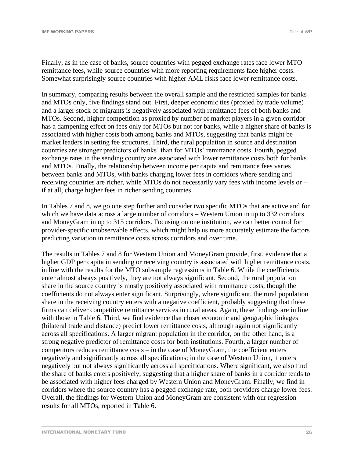Finally, as in the case of banks, source countries with pegged exchange rates face lower MTO remittance fees, while source countries with more reporting requirements face higher costs. Somewhat surprisingly source countries with higher AML risks face lower remittance costs.

In summary, comparing results between the overall sample and the restricted samples for banks and MTOs only, five findings stand out. First, deeper economic ties (proxied by trade volume) and a larger stock of migrants is negatively associated with remittance fees of both banks and MTOs. Second, higher competition as proxied by number of market players in a given corridor has a dampening effect on fees only for MTOs but not for banks, while a higher share of banks is associated with higher costs both among banks and MTOs, suggesting that banks might be market leaders in setting fee structures. Third, the rural population in source and destination countries are stronger predictors of banks' than for MTOs' remittance costs. Fourth, pegged exchange rates in the sending country are associated with lower remittance costs both for banks and MTOs. Finally, the relationship between income per capita and remittance fees varies between banks and MTOs, with banks charging lower fees in corridors where sending and receiving countries are richer, while MTOs do not necessarily vary fees with income levels or – if at all, charge higher fees in richer sending countries.

In Tables 7 and 8, we go one step further and consider two specific MTOs that are active and for which we have data across a large number of corridors – Western Union in up to 332 corridors and MoneyGram in up to 315 corridors. Focusing on one institution, we can better control for provider-specific unobservable effects, which might help us more accurately estimate the factors predicting variation in remittance costs across corridors and over time.

The results in Tables 7 and 8 for Western Union and MoneyGram provide, first, evidence that a higher GDP per capita in sending or receiving country is associated with higher remittance costs, in line with the results for the MTO subsample regressions in Table 6. While the coefficients enter almost always positively, they are not always significant. Second, the rural population share in the source country is mostly positively associated with remittance costs, though the coefficients do not always enter significant. Surprisingly, where significant, the rural population share in the receiving country enters with a negative coefficient, probably suggesting that these firms can deliver competitive remittance services in rural areas. Again, these findings are in line with those in Table 6. Third, we find evidence that closer economic and geographic linkages (bilateral trade and distance) predict lower remittance costs, although again not significantly across all specifications. A larger migrant population in the corridor, on the other hand, is a strong negative predictor of remittance costs for both institutions. Fourth, a larger number of competitors reduces remittance costs – in the case of MoneyGram, the coefficient enters negatively and significantly across all specifications; in the case of Western Union, it enters negatively but not always significantly across all specifications. Where significant, we also find the share of banks enters positively, suggesting that a higher share of banks in a corridor tends to be associated with higher fees charged by Western Union and MoneyGram. Finally, we find in corridors where the source country has a pegged exchange rate, both providers charge lower fees. Overall, the findings for Western Union and MoneyGram are consistent with our regression results for all MTOs, reported in Table 6.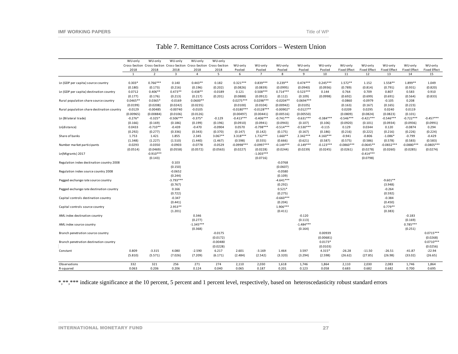| Table 7. Remittance Costs across Corridors – Western Union |  |
|------------------------------------------------------------|--|
|------------------------------------------------------------|--|

| WU-only<br>WU-only<br>WU-only<br>WU-only<br>Cross-Section Cross-Section Cross-Section Cross-Section Cross-Section<br>WU-only<br>WU-only<br>WU-only<br>WU-only<br>WU-only<br>WU-only<br><b>Fixed Effect</b><br><b>Fixed Effect</b><br><b>Fixed Effect</b><br><b>Fixed Effect</b><br><b>Fixed Effect</b><br>2018<br>2018<br>2018<br>2018<br>2018<br>Pooled<br>Pooled<br>Pooled<br>Pooled<br>Pooled<br>$\overline{2}$<br>$\overline{\mathbf{3}}$<br>$\overline{4}$<br>5<br>$\mathbf{1}$<br>6<br>$\overline{7}$<br>8<br>9<br>10<br>11<br>12<br>13<br>14<br>15<br>$0.303*$<br>$0.766***$<br>$0.443**$<br>0.182<br>$0.321***$<br>$0.839***$<br>$0.239**$<br>$0.474***$<br>$0.245***$<br>$1.572**$<br>1.152<br>$1.558**$<br>1.899**<br>0.140<br>1.049<br>Ln (GDP per capita) source country<br>(0.196)<br>(0.202)<br>(0.0826)<br>(0.0839)<br>(0.814)<br>(0.931)<br>(0.820)<br>(0.180)<br>(0.173)<br>(0.216)<br>(0.0995)<br>(0.0940)<br>(0.0936)<br>(0.789)<br>(0.791)<br>$0.473**$<br>$0.508***$<br>$0.714***$<br>$0.523***$<br>$0.406**$<br>$0.438**$<br>$-0.0189$<br>0.121<br>0.709<br>0.807<br>0.583<br>0.910<br>Ln (GDP per capita) destination country<br>0.0712<br>0.144<br>0.764<br>(0.177)<br>(0.176)<br>(0.213)<br>(0.217)<br>(0.201)<br>(0.0888)<br>(0.0912)<br>(0.0998)<br>(0.692)<br>(0.699)<br>(0.691)<br>(0.564)<br>(0.833)<br>(0.112)<br>(0.109)<br>$0.0275***$<br>$0.0298***$<br>$0.0694***$<br>$0.0465**$<br>$0.0365*$<br>$0.0600**$<br>$-0.0204**$<br>$-0.0979$<br>0.208<br>Rural population share source country<br>$-0.0169$<br>$-0.0860$<br>$-0.105$<br>(0.0235)<br>(0.223)<br>(0.0199)<br>(0.0208)<br>(0.0242)<br>(0.0100)<br>(0.0104)<br>(0.00942)<br>(0.0105)<br>(0.163)<br>(0.167)<br>(0.165)<br>$-0.0180***$<br>$-0.0128***$<br>$-0.00902*$<br>$-0.0127**$<br>0.0295<br>0.0240<br>$-0.0129$<br>$-0.00485$<br>$-0.00740$<br>$-0.0105$<br>0.0209<br>0.0119<br>Rural population share destination country<br>(0.0809)<br>(0.0824)<br>(0.0823)<br>(0.00965)<br>(0.00884)<br>(0.0106)<br>(0.0126)<br>(0.00497)<br>(0.00441)<br>(0.00516)<br>(0.00550)<br>(0.101)<br>$-0.506***$<br>$-0.413***$<br>$-0.406***$<br>$-0.741***$<br>$-0.631***$<br>$-0.384***$<br>$-0.546***$<br>$-0.421***$<br>$-0.546***$<br>$-0.722***$<br>$-0.457***$<br>$-0.276*$<br>$-0.325*$<br>$-0.375*$<br>$-0.129$<br>Ln (Bilateral trade)<br>(0.199)<br>(0.196)<br>(0.0910)<br>(0.0941)<br>(0.0934)<br>(0.0936)<br>(0.166)<br>(0.169)<br>(0.186)<br>(0.0943)<br>(0.107)<br>(0.106)<br>(0.0920)<br>(0.101)<br>(0.0991)<br>$-0.798***$<br>$-0.514***$<br>$-0.530***$<br>Ln(distance)<br>0.0433<br>$-0.710**$<br>$-0.439$<br>$-0.470$<br>$-0.0904$<br>0.0570<br>$-0.115$<br>0.129<br>0.0344<br>0.120<br>$-0.0874$<br>0.294<br>(0.343)<br>(0.370)<br>(0.222)<br>(0.226)<br>(0.292)<br>(0.277)<br>(0.336)<br>(0.147)<br>(0.142)<br>(0.175)<br>(0.167)<br>(0.186)<br>(0.216)<br>(0.216)<br>(0.224)<br>$3.067**$<br>3.318***<br>$1.732***$<br>$1.660**$<br>$2.342***$<br>4.160***<br>$-0.941$<br>$-0.806$<br>$-1.086*$<br>$-0.799$<br>$-0.429$<br>Share of banks<br>1.753<br>1.421<br>1.855<br>2.345<br>(1.348)<br>(1.227)<br>(1.510)<br>(1.440)<br>(1.467)<br>(0.555)<br>(0.575)<br>(0.586)<br>(0.578)<br>(0.583)<br>(0.583)<br>(0.598)<br>(0.666)<br>(0.621)<br>(0.587)<br>$-0.149***$<br>$-0.123***$<br>$-0.0860***$<br>$-0.0293$<br>$-0.0350$<br>$-0.0903$<br>$-0.0778$<br>$-0.0529$<br>$-0.0998***$<br>$-0.0997***$<br>$-0.149***$<br>$-0.0645**$<br>$-0.0832***$<br>$-0.0880***$<br>$-0.0805***$<br>Number market participants<br>(0.0514)<br>(0.0469)<br>(0.0558)<br>(0.0572)<br>(0.0563)<br>(0.0227)<br>(0.0228)<br>(0.0244)<br>(0.0239)<br>(0.0245)<br>(0.0261)<br>(0.0278)<br>(0.0260)<br>(0.0285)<br>(0.0274)<br>$-1.003***$<br>$-0.414***$<br>$-0.910***$<br>Ln(Migrants) 2017<br>(0.0716)<br>(0.0798)<br>(0.143)<br>$-0.0768$<br>0.103<br>Regulation index destination country 2008<br>(0.150)<br>(0.0607)<br>$-0.0652$<br>$-0.0580$<br>Regulation index source country 2008<br>(0.244)<br>(0.109)<br>$-3.793***$<br>$-4.641***$<br>$-9.601**$<br>Pegged exchange rate source country<br>(0.767)<br>(0.292)<br>(3.948)<br>0.166<br>$0.521*$<br>$-0.264$<br>Pegged exchange rate destination country<br>(0.722)<br>(0.592)<br>(0.275)<br>$-0.347$<br>$-0.660***$<br>$-0.384$<br>Capital controls destination country<br>(0.441)<br>(0.450)<br>(0.204)<br>$2.953**$<br>$1.906***$<br>$0.779**$<br>Capital controls source country<br>(1.201)<br>(0.411)<br>(0.383)<br>0.346<br>$-0.120$<br>$-0.183$<br>AML index destination country<br>(0.277)<br>(0.169)<br>(0.113)<br>$-1.345***$<br>$-1.484***$<br>$0.785***$<br>AML index source country<br>(0.368)<br>(0.164)<br>(0.251)<br>$0.0715***$<br>$-0.0175$<br>0.00939<br>Branch penetration source country<br>(0.0172)<br>(0.00681)<br>(0.0268)<br>$-0.00480$<br>$0.0173*$<br>$0.0710***$<br>Branch penetration destination country<br>(0.0228)<br>(0.0103)<br>(0.0256)<br>$4.315*$<br>0.809<br>4.080<br>$-2.590$<br>6.217<br>2.601<br>$-3.169$<br>3.597<br>$-26.28$<br>$-11.50$<br>$-26.51$<br>$-41.87$<br>$-22.94$<br>$-3.315$<br>1.464<br>Constant<br>(7.026)<br>(2.542)<br>(3.320)<br>(3.294)<br>(2.598)<br>(26.62)<br>(27.85)<br>(26.98)<br>(33.02)<br>(26.65)<br>(5.810)<br>(5.571)<br>(7.209)<br>(6.171)<br>(2.484)<br>Observations<br>332<br>321<br>256<br>271<br>274<br>2,110<br>2,030<br>1,618<br>1,746<br>1,864<br>2,110<br>2,030<br>2,083<br>1,746<br>1,864<br>0.063<br>0.206<br>0.206<br>0.124<br>0.040<br>0.065<br>0.187<br>0.201<br>0.123<br>0.058<br>0.683<br>0.682<br>0.682<br>0.700<br>0.695<br>R-squared | WU-only | WU-only | WU-only | WU-only | WU-only |  |  |  |  |  |
|----------------------------------------------------------------------------------------------------------------------------------------------------------------------------------------------------------------------------------------------------------------------------------------------------------------------------------------------------------------------------------------------------------------------------------------------------------------------------------------------------------------------------------------------------------------------------------------------------------------------------------------------------------------------------------------------------------------------------------------------------------------------------------------------------------------------------------------------------------------------------------------------------------------------------------------------------------------------------------------------------------------------------------------------------------------------------------------------------------------------------------------------------------------------------------------------------------------------------------------------------------------------------------------------------------------------------------------------------------------------------------------------------------------------------------------------------------------------------------------------------------------------------------------------------------------------------------------------------------------------------------------------------------------------------------------------------------------------------------------------------------------------------------------------------------------------------------------------------------------------------------------------------------------------------------------------------------------------------------------------------------------------------------------------------------------------------------------------------------------------------------------------------------------------------------------------------------------------------------------------------------------------------------------------------------------------------------------------------------------------------------------------------------------------------------------------------------------------------------------------------------------------------------------------------------------------------------------------------------------------------------------------------------------------------------------------------------------------------------------------------------------------------------------------------------------------------------------------------------------------------------------------------------------------------------------------------------------------------------------------------------------------------------------------------------------------------------------------------------------------------------------------------------------------------------------------------------------------------------------------------------------------------------------------------------------------------------------------------------------------------------------------------------------------------------------------------------------------------------------------------------------------------------------------------------------------------------------------------------------------------------------------------------------------------------------------------------------------------------------------------------------------------------------------------------------------------------------------------------------------------------------------------------------------------------------------------------------------------------------------------------------------------------------------------------------------------------------------------------------------------------------------------------------------------------------------------------------------------------------------------------------------------------------------------------------------------------------------------------------------------------------------------------------------------------------------------------------------------------------------------------------------------------------------------------------------------------------------------------------------------------------------------------------------------------------------------------------------------------------------------------------------------------------------------------------------------------------------------------------------------------------------------------------------------------------------------------------------------------------------------------------------------------------------------------------------------------------------------------------------------------------------------------------------------------------------------------------------------------------------------------------------------------------------------------------------------------------------------------------------------------------------------------------------------------------------------------------------------------------------------------------------------------------------------------------------|---------|---------|---------|---------|---------|--|--|--|--|--|
|                                                                                                                                                                                                                                                                                                                                                                                                                                                                                                                                                                                                                                                                                                                                                                                                                                                                                                                                                                                                                                                                                                                                                                                                                                                                                                                                                                                                                                                                                                                                                                                                                                                                                                                                                                                                                                                                                                                                                                                                                                                                                                                                                                                                                                                                                                                                                                                                                                                                                                                                                                                                                                                                                                                                                                                                                                                                                                                                                                                                                                                                                                                                                                                                                                                                                                                                                                                                                                                                                                                                                                                                                                                                                                                                                                                                                                                                                                                                                                                                                                                                                                                                                                                                                                                                                                                                                                                                                                                                                                                                                                                                                                                                                                                                                                                                                                                                                                                                                                                                                                                                                                                                                                                                                                                                                                                                                                                                                                                                                                                                                                      |         |         |         |         |         |  |  |  |  |  |
|                                                                                                                                                                                                                                                                                                                                                                                                                                                                                                                                                                                                                                                                                                                                                                                                                                                                                                                                                                                                                                                                                                                                                                                                                                                                                                                                                                                                                                                                                                                                                                                                                                                                                                                                                                                                                                                                                                                                                                                                                                                                                                                                                                                                                                                                                                                                                                                                                                                                                                                                                                                                                                                                                                                                                                                                                                                                                                                                                                                                                                                                                                                                                                                                                                                                                                                                                                                                                                                                                                                                                                                                                                                                                                                                                                                                                                                                                                                                                                                                                                                                                                                                                                                                                                                                                                                                                                                                                                                                                                                                                                                                                                                                                                                                                                                                                                                                                                                                                                                                                                                                                                                                                                                                                                                                                                                                                                                                                                                                                                                                                                      |         |         |         |         |         |  |  |  |  |  |
|                                                                                                                                                                                                                                                                                                                                                                                                                                                                                                                                                                                                                                                                                                                                                                                                                                                                                                                                                                                                                                                                                                                                                                                                                                                                                                                                                                                                                                                                                                                                                                                                                                                                                                                                                                                                                                                                                                                                                                                                                                                                                                                                                                                                                                                                                                                                                                                                                                                                                                                                                                                                                                                                                                                                                                                                                                                                                                                                                                                                                                                                                                                                                                                                                                                                                                                                                                                                                                                                                                                                                                                                                                                                                                                                                                                                                                                                                                                                                                                                                                                                                                                                                                                                                                                                                                                                                                                                                                                                                                                                                                                                                                                                                                                                                                                                                                                                                                                                                                                                                                                                                                                                                                                                                                                                                                                                                                                                                                                                                                                                                                      |         |         |         |         |         |  |  |  |  |  |
|                                                                                                                                                                                                                                                                                                                                                                                                                                                                                                                                                                                                                                                                                                                                                                                                                                                                                                                                                                                                                                                                                                                                                                                                                                                                                                                                                                                                                                                                                                                                                                                                                                                                                                                                                                                                                                                                                                                                                                                                                                                                                                                                                                                                                                                                                                                                                                                                                                                                                                                                                                                                                                                                                                                                                                                                                                                                                                                                                                                                                                                                                                                                                                                                                                                                                                                                                                                                                                                                                                                                                                                                                                                                                                                                                                                                                                                                                                                                                                                                                                                                                                                                                                                                                                                                                                                                                                                                                                                                                                                                                                                                                                                                                                                                                                                                                                                                                                                                                                                                                                                                                                                                                                                                                                                                                                                                                                                                                                                                                                                                                                      |         |         |         |         |         |  |  |  |  |  |
|                                                                                                                                                                                                                                                                                                                                                                                                                                                                                                                                                                                                                                                                                                                                                                                                                                                                                                                                                                                                                                                                                                                                                                                                                                                                                                                                                                                                                                                                                                                                                                                                                                                                                                                                                                                                                                                                                                                                                                                                                                                                                                                                                                                                                                                                                                                                                                                                                                                                                                                                                                                                                                                                                                                                                                                                                                                                                                                                                                                                                                                                                                                                                                                                                                                                                                                                                                                                                                                                                                                                                                                                                                                                                                                                                                                                                                                                                                                                                                                                                                                                                                                                                                                                                                                                                                                                                                                                                                                                                                                                                                                                                                                                                                                                                                                                                                                                                                                                                                                                                                                                                                                                                                                                                                                                                                                                                                                                                                                                                                                                                                      |         |         |         |         |         |  |  |  |  |  |
|                                                                                                                                                                                                                                                                                                                                                                                                                                                                                                                                                                                                                                                                                                                                                                                                                                                                                                                                                                                                                                                                                                                                                                                                                                                                                                                                                                                                                                                                                                                                                                                                                                                                                                                                                                                                                                                                                                                                                                                                                                                                                                                                                                                                                                                                                                                                                                                                                                                                                                                                                                                                                                                                                                                                                                                                                                                                                                                                                                                                                                                                                                                                                                                                                                                                                                                                                                                                                                                                                                                                                                                                                                                                                                                                                                                                                                                                                                                                                                                                                                                                                                                                                                                                                                                                                                                                                                                                                                                                                                                                                                                                                                                                                                                                                                                                                                                                                                                                                                                                                                                                                                                                                                                                                                                                                                                                                                                                                                                                                                                                                                      |         |         |         |         |         |  |  |  |  |  |
|                                                                                                                                                                                                                                                                                                                                                                                                                                                                                                                                                                                                                                                                                                                                                                                                                                                                                                                                                                                                                                                                                                                                                                                                                                                                                                                                                                                                                                                                                                                                                                                                                                                                                                                                                                                                                                                                                                                                                                                                                                                                                                                                                                                                                                                                                                                                                                                                                                                                                                                                                                                                                                                                                                                                                                                                                                                                                                                                                                                                                                                                                                                                                                                                                                                                                                                                                                                                                                                                                                                                                                                                                                                                                                                                                                                                                                                                                                                                                                                                                                                                                                                                                                                                                                                                                                                                                                                                                                                                                                                                                                                                                                                                                                                                                                                                                                                                                                                                                                                                                                                                                                                                                                                                                                                                                                                                                                                                                                                                                                                                                                      |         |         |         |         |         |  |  |  |  |  |
|                                                                                                                                                                                                                                                                                                                                                                                                                                                                                                                                                                                                                                                                                                                                                                                                                                                                                                                                                                                                                                                                                                                                                                                                                                                                                                                                                                                                                                                                                                                                                                                                                                                                                                                                                                                                                                                                                                                                                                                                                                                                                                                                                                                                                                                                                                                                                                                                                                                                                                                                                                                                                                                                                                                                                                                                                                                                                                                                                                                                                                                                                                                                                                                                                                                                                                                                                                                                                                                                                                                                                                                                                                                                                                                                                                                                                                                                                                                                                                                                                                                                                                                                                                                                                                                                                                                                                                                                                                                                                                                                                                                                                                                                                                                                                                                                                                                                                                                                                                                                                                                                                                                                                                                                                                                                                                                                                                                                                                                                                                                                                                      |         |         |         |         |         |  |  |  |  |  |
|                                                                                                                                                                                                                                                                                                                                                                                                                                                                                                                                                                                                                                                                                                                                                                                                                                                                                                                                                                                                                                                                                                                                                                                                                                                                                                                                                                                                                                                                                                                                                                                                                                                                                                                                                                                                                                                                                                                                                                                                                                                                                                                                                                                                                                                                                                                                                                                                                                                                                                                                                                                                                                                                                                                                                                                                                                                                                                                                                                                                                                                                                                                                                                                                                                                                                                                                                                                                                                                                                                                                                                                                                                                                                                                                                                                                                                                                                                                                                                                                                                                                                                                                                                                                                                                                                                                                                                                                                                                                                                                                                                                                                                                                                                                                                                                                                                                                                                                                                                                                                                                                                                                                                                                                                                                                                                                                                                                                                                                                                                                                                                      |         |         |         |         |         |  |  |  |  |  |
|                                                                                                                                                                                                                                                                                                                                                                                                                                                                                                                                                                                                                                                                                                                                                                                                                                                                                                                                                                                                                                                                                                                                                                                                                                                                                                                                                                                                                                                                                                                                                                                                                                                                                                                                                                                                                                                                                                                                                                                                                                                                                                                                                                                                                                                                                                                                                                                                                                                                                                                                                                                                                                                                                                                                                                                                                                                                                                                                                                                                                                                                                                                                                                                                                                                                                                                                                                                                                                                                                                                                                                                                                                                                                                                                                                                                                                                                                                                                                                                                                                                                                                                                                                                                                                                                                                                                                                                                                                                                                                                                                                                                                                                                                                                                                                                                                                                                                                                                                                                                                                                                                                                                                                                                                                                                                                                                                                                                                                                                                                                                                                      |         |         |         |         |         |  |  |  |  |  |
|                                                                                                                                                                                                                                                                                                                                                                                                                                                                                                                                                                                                                                                                                                                                                                                                                                                                                                                                                                                                                                                                                                                                                                                                                                                                                                                                                                                                                                                                                                                                                                                                                                                                                                                                                                                                                                                                                                                                                                                                                                                                                                                                                                                                                                                                                                                                                                                                                                                                                                                                                                                                                                                                                                                                                                                                                                                                                                                                                                                                                                                                                                                                                                                                                                                                                                                                                                                                                                                                                                                                                                                                                                                                                                                                                                                                                                                                                                                                                                                                                                                                                                                                                                                                                                                                                                                                                                                                                                                                                                                                                                                                                                                                                                                                                                                                                                                                                                                                                                                                                                                                                                                                                                                                                                                                                                                                                                                                                                                                                                                                                                      |         |         |         |         |         |  |  |  |  |  |
|                                                                                                                                                                                                                                                                                                                                                                                                                                                                                                                                                                                                                                                                                                                                                                                                                                                                                                                                                                                                                                                                                                                                                                                                                                                                                                                                                                                                                                                                                                                                                                                                                                                                                                                                                                                                                                                                                                                                                                                                                                                                                                                                                                                                                                                                                                                                                                                                                                                                                                                                                                                                                                                                                                                                                                                                                                                                                                                                                                                                                                                                                                                                                                                                                                                                                                                                                                                                                                                                                                                                                                                                                                                                                                                                                                                                                                                                                                                                                                                                                                                                                                                                                                                                                                                                                                                                                                                                                                                                                                                                                                                                                                                                                                                                                                                                                                                                                                                                                                                                                                                                                                                                                                                                                                                                                                                                                                                                                                                                                                                                                                      |         |         |         |         |         |  |  |  |  |  |
|                                                                                                                                                                                                                                                                                                                                                                                                                                                                                                                                                                                                                                                                                                                                                                                                                                                                                                                                                                                                                                                                                                                                                                                                                                                                                                                                                                                                                                                                                                                                                                                                                                                                                                                                                                                                                                                                                                                                                                                                                                                                                                                                                                                                                                                                                                                                                                                                                                                                                                                                                                                                                                                                                                                                                                                                                                                                                                                                                                                                                                                                                                                                                                                                                                                                                                                                                                                                                                                                                                                                                                                                                                                                                                                                                                                                                                                                                                                                                                                                                                                                                                                                                                                                                                                                                                                                                                                                                                                                                                                                                                                                                                                                                                                                                                                                                                                                                                                                                                                                                                                                                                                                                                                                                                                                                                                                                                                                                                                                                                                                                                      |         |         |         |         |         |  |  |  |  |  |
|                                                                                                                                                                                                                                                                                                                                                                                                                                                                                                                                                                                                                                                                                                                                                                                                                                                                                                                                                                                                                                                                                                                                                                                                                                                                                                                                                                                                                                                                                                                                                                                                                                                                                                                                                                                                                                                                                                                                                                                                                                                                                                                                                                                                                                                                                                                                                                                                                                                                                                                                                                                                                                                                                                                                                                                                                                                                                                                                                                                                                                                                                                                                                                                                                                                                                                                                                                                                                                                                                                                                                                                                                                                                                                                                                                                                                                                                                                                                                                                                                                                                                                                                                                                                                                                                                                                                                                                                                                                                                                                                                                                                                                                                                                                                                                                                                                                                                                                                                                                                                                                                                                                                                                                                                                                                                                                                                                                                                                                                                                                                                                      |         |         |         |         |         |  |  |  |  |  |
|                                                                                                                                                                                                                                                                                                                                                                                                                                                                                                                                                                                                                                                                                                                                                                                                                                                                                                                                                                                                                                                                                                                                                                                                                                                                                                                                                                                                                                                                                                                                                                                                                                                                                                                                                                                                                                                                                                                                                                                                                                                                                                                                                                                                                                                                                                                                                                                                                                                                                                                                                                                                                                                                                                                                                                                                                                                                                                                                                                                                                                                                                                                                                                                                                                                                                                                                                                                                                                                                                                                                                                                                                                                                                                                                                                                                                                                                                                                                                                                                                                                                                                                                                                                                                                                                                                                                                                                                                                                                                                                                                                                                                                                                                                                                                                                                                                                                                                                                                                                                                                                                                                                                                                                                                                                                                                                                                                                                                                                                                                                                                                      |         |         |         |         |         |  |  |  |  |  |
|                                                                                                                                                                                                                                                                                                                                                                                                                                                                                                                                                                                                                                                                                                                                                                                                                                                                                                                                                                                                                                                                                                                                                                                                                                                                                                                                                                                                                                                                                                                                                                                                                                                                                                                                                                                                                                                                                                                                                                                                                                                                                                                                                                                                                                                                                                                                                                                                                                                                                                                                                                                                                                                                                                                                                                                                                                                                                                                                                                                                                                                                                                                                                                                                                                                                                                                                                                                                                                                                                                                                                                                                                                                                                                                                                                                                                                                                                                                                                                                                                                                                                                                                                                                                                                                                                                                                                                                                                                                                                                                                                                                                                                                                                                                                                                                                                                                                                                                                                                                                                                                                                                                                                                                                                                                                                                                                                                                                                                                                                                                                                                      |         |         |         |         |         |  |  |  |  |  |
|                                                                                                                                                                                                                                                                                                                                                                                                                                                                                                                                                                                                                                                                                                                                                                                                                                                                                                                                                                                                                                                                                                                                                                                                                                                                                                                                                                                                                                                                                                                                                                                                                                                                                                                                                                                                                                                                                                                                                                                                                                                                                                                                                                                                                                                                                                                                                                                                                                                                                                                                                                                                                                                                                                                                                                                                                                                                                                                                                                                                                                                                                                                                                                                                                                                                                                                                                                                                                                                                                                                                                                                                                                                                                                                                                                                                                                                                                                                                                                                                                                                                                                                                                                                                                                                                                                                                                                                                                                                                                                                                                                                                                                                                                                                                                                                                                                                                                                                                                                                                                                                                                                                                                                                                                                                                                                                                                                                                                                                                                                                                                                      |         |         |         |         |         |  |  |  |  |  |
|                                                                                                                                                                                                                                                                                                                                                                                                                                                                                                                                                                                                                                                                                                                                                                                                                                                                                                                                                                                                                                                                                                                                                                                                                                                                                                                                                                                                                                                                                                                                                                                                                                                                                                                                                                                                                                                                                                                                                                                                                                                                                                                                                                                                                                                                                                                                                                                                                                                                                                                                                                                                                                                                                                                                                                                                                                                                                                                                                                                                                                                                                                                                                                                                                                                                                                                                                                                                                                                                                                                                                                                                                                                                                                                                                                                                                                                                                                                                                                                                                                                                                                                                                                                                                                                                                                                                                                                                                                                                                                                                                                                                                                                                                                                                                                                                                                                                                                                                                                                                                                                                                                                                                                                                                                                                                                                                                                                                                                                                                                                                                                      |         |         |         |         |         |  |  |  |  |  |
|                                                                                                                                                                                                                                                                                                                                                                                                                                                                                                                                                                                                                                                                                                                                                                                                                                                                                                                                                                                                                                                                                                                                                                                                                                                                                                                                                                                                                                                                                                                                                                                                                                                                                                                                                                                                                                                                                                                                                                                                                                                                                                                                                                                                                                                                                                                                                                                                                                                                                                                                                                                                                                                                                                                                                                                                                                                                                                                                                                                                                                                                                                                                                                                                                                                                                                                                                                                                                                                                                                                                                                                                                                                                                                                                                                                                                                                                                                                                                                                                                                                                                                                                                                                                                                                                                                                                                                                                                                                                                                                                                                                                                                                                                                                                                                                                                                                                                                                                                                                                                                                                                                                                                                                                                                                                                                                                                                                                                                                                                                                                                                      |         |         |         |         |         |  |  |  |  |  |
|                                                                                                                                                                                                                                                                                                                                                                                                                                                                                                                                                                                                                                                                                                                                                                                                                                                                                                                                                                                                                                                                                                                                                                                                                                                                                                                                                                                                                                                                                                                                                                                                                                                                                                                                                                                                                                                                                                                                                                                                                                                                                                                                                                                                                                                                                                                                                                                                                                                                                                                                                                                                                                                                                                                                                                                                                                                                                                                                                                                                                                                                                                                                                                                                                                                                                                                                                                                                                                                                                                                                                                                                                                                                                                                                                                                                                                                                                                                                                                                                                                                                                                                                                                                                                                                                                                                                                                                                                                                                                                                                                                                                                                                                                                                                                                                                                                                                                                                                                                                                                                                                                                                                                                                                                                                                                                                                                                                                                                                                                                                                                                      |         |         |         |         |         |  |  |  |  |  |
|                                                                                                                                                                                                                                                                                                                                                                                                                                                                                                                                                                                                                                                                                                                                                                                                                                                                                                                                                                                                                                                                                                                                                                                                                                                                                                                                                                                                                                                                                                                                                                                                                                                                                                                                                                                                                                                                                                                                                                                                                                                                                                                                                                                                                                                                                                                                                                                                                                                                                                                                                                                                                                                                                                                                                                                                                                                                                                                                                                                                                                                                                                                                                                                                                                                                                                                                                                                                                                                                                                                                                                                                                                                                                                                                                                                                                                                                                                                                                                                                                                                                                                                                                                                                                                                                                                                                                                                                                                                                                                                                                                                                                                                                                                                                                                                                                                                                                                                                                                                                                                                                                                                                                                                                                                                                                                                                                                                                                                                                                                                                                                      |         |         |         |         |         |  |  |  |  |  |
|                                                                                                                                                                                                                                                                                                                                                                                                                                                                                                                                                                                                                                                                                                                                                                                                                                                                                                                                                                                                                                                                                                                                                                                                                                                                                                                                                                                                                                                                                                                                                                                                                                                                                                                                                                                                                                                                                                                                                                                                                                                                                                                                                                                                                                                                                                                                                                                                                                                                                                                                                                                                                                                                                                                                                                                                                                                                                                                                                                                                                                                                                                                                                                                                                                                                                                                                                                                                                                                                                                                                                                                                                                                                                                                                                                                                                                                                                                                                                                                                                                                                                                                                                                                                                                                                                                                                                                                                                                                                                                                                                                                                                                                                                                                                                                                                                                                                                                                                                                                                                                                                                                                                                                                                                                                                                                                                                                                                                                                                                                                                                                      |         |         |         |         |         |  |  |  |  |  |
|                                                                                                                                                                                                                                                                                                                                                                                                                                                                                                                                                                                                                                                                                                                                                                                                                                                                                                                                                                                                                                                                                                                                                                                                                                                                                                                                                                                                                                                                                                                                                                                                                                                                                                                                                                                                                                                                                                                                                                                                                                                                                                                                                                                                                                                                                                                                                                                                                                                                                                                                                                                                                                                                                                                                                                                                                                                                                                                                                                                                                                                                                                                                                                                                                                                                                                                                                                                                                                                                                                                                                                                                                                                                                                                                                                                                                                                                                                                                                                                                                                                                                                                                                                                                                                                                                                                                                                                                                                                                                                                                                                                                                                                                                                                                                                                                                                                                                                                                                                                                                                                                                                                                                                                                                                                                                                                                                                                                                                                                                                                                                                      |         |         |         |         |         |  |  |  |  |  |
|                                                                                                                                                                                                                                                                                                                                                                                                                                                                                                                                                                                                                                                                                                                                                                                                                                                                                                                                                                                                                                                                                                                                                                                                                                                                                                                                                                                                                                                                                                                                                                                                                                                                                                                                                                                                                                                                                                                                                                                                                                                                                                                                                                                                                                                                                                                                                                                                                                                                                                                                                                                                                                                                                                                                                                                                                                                                                                                                                                                                                                                                                                                                                                                                                                                                                                                                                                                                                                                                                                                                                                                                                                                                                                                                                                                                                                                                                                                                                                                                                                                                                                                                                                                                                                                                                                                                                                                                                                                                                                                                                                                                                                                                                                                                                                                                                                                                                                                                                                                                                                                                                                                                                                                                                                                                                                                                                                                                                                                                                                                                                                      |         |         |         |         |         |  |  |  |  |  |
|                                                                                                                                                                                                                                                                                                                                                                                                                                                                                                                                                                                                                                                                                                                                                                                                                                                                                                                                                                                                                                                                                                                                                                                                                                                                                                                                                                                                                                                                                                                                                                                                                                                                                                                                                                                                                                                                                                                                                                                                                                                                                                                                                                                                                                                                                                                                                                                                                                                                                                                                                                                                                                                                                                                                                                                                                                                                                                                                                                                                                                                                                                                                                                                                                                                                                                                                                                                                                                                                                                                                                                                                                                                                                                                                                                                                                                                                                                                                                                                                                                                                                                                                                                                                                                                                                                                                                                                                                                                                                                                                                                                                                                                                                                                                                                                                                                                                                                                                                                                                                                                                                                                                                                                                                                                                                                                                                                                                                                                                                                                                                                      |         |         |         |         |         |  |  |  |  |  |
|                                                                                                                                                                                                                                                                                                                                                                                                                                                                                                                                                                                                                                                                                                                                                                                                                                                                                                                                                                                                                                                                                                                                                                                                                                                                                                                                                                                                                                                                                                                                                                                                                                                                                                                                                                                                                                                                                                                                                                                                                                                                                                                                                                                                                                                                                                                                                                                                                                                                                                                                                                                                                                                                                                                                                                                                                                                                                                                                                                                                                                                                                                                                                                                                                                                                                                                                                                                                                                                                                                                                                                                                                                                                                                                                                                                                                                                                                                                                                                                                                                                                                                                                                                                                                                                                                                                                                                                                                                                                                                                                                                                                                                                                                                                                                                                                                                                                                                                                                                                                                                                                                                                                                                                                                                                                                                                                                                                                                                                                                                                                                                      |         |         |         |         |         |  |  |  |  |  |
|                                                                                                                                                                                                                                                                                                                                                                                                                                                                                                                                                                                                                                                                                                                                                                                                                                                                                                                                                                                                                                                                                                                                                                                                                                                                                                                                                                                                                                                                                                                                                                                                                                                                                                                                                                                                                                                                                                                                                                                                                                                                                                                                                                                                                                                                                                                                                                                                                                                                                                                                                                                                                                                                                                                                                                                                                                                                                                                                                                                                                                                                                                                                                                                                                                                                                                                                                                                                                                                                                                                                                                                                                                                                                                                                                                                                                                                                                                                                                                                                                                                                                                                                                                                                                                                                                                                                                                                                                                                                                                                                                                                                                                                                                                                                                                                                                                                                                                                                                                                                                                                                                                                                                                                                                                                                                                                                                                                                                                                                                                                                                                      |         |         |         |         |         |  |  |  |  |  |
|                                                                                                                                                                                                                                                                                                                                                                                                                                                                                                                                                                                                                                                                                                                                                                                                                                                                                                                                                                                                                                                                                                                                                                                                                                                                                                                                                                                                                                                                                                                                                                                                                                                                                                                                                                                                                                                                                                                                                                                                                                                                                                                                                                                                                                                                                                                                                                                                                                                                                                                                                                                                                                                                                                                                                                                                                                                                                                                                                                                                                                                                                                                                                                                                                                                                                                                                                                                                                                                                                                                                                                                                                                                                                                                                                                                                                                                                                                                                                                                                                                                                                                                                                                                                                                                                                                                                                                                                                                                                                                                                                                                                                                                                                                                                                                                                                                                                                                                                                                                                                                                                                                                                                                                                                                                                                                                                                                                                                                                                                                                                                                      |         |         |         |         |         |  |  |  |  |  |
|                                                                                                                                                                                                                                                                                                                                                                                                                                                                                                                                                                                                                                                                                                                                                                                                                                                                                                                                                                                                                                                                                                                                                                                                                                                                                                                                                                                                                                                                                                                                                                                                                                                                                                                                                                                                                                                                                                                                                                                                                                                                                                                                                                                                                                                                                                                                                                                                                                                                                                                                                                                                                                                                                                                                                                                                                                                                                                                                                                                                                                                                                                                                                                                                                                                                                                                                                                                                                                                                                                                                                                                                                                                                                                                                                                                                                                                                                                                                                                                                                                                                                                                                                                                                                                                                                                                                                                                                                                                                                                                                                                                                                                                                                                                                                                                                                                                                                                                                                                                                                                                                                                                                                                                                                                                                                                                                                                                                                                                                                                                                                                      |         |         |         |         |         |  |  |  |  |  |
|                                                                                                                                                                                                                                                                                                                                                                                                                                                                                                                                                                                                                                                                                                                                                                                                                                                                                                                                                                                                                                                                                                                                                                                                                                                                                                                                                                                                                                                                                                                                                                                                                                                                                                                                                                                                                                                                                                                                                                                                                                                                                                                                                                                                                                                                                                                                                                                                                                                                                                                                                                                                                                                                                                                                                                                                                                                                                                                                                                                                                                                                                                                                                                                                                                                                                                                                                                                                                                                                                                                                                                                                                                                                                                                                                                                                                                                                                                                                                                                                                                                                                                                                                                                                                                                                                                                                                                                                                                                                                                                                                                                                                                                                                                                                                                                                                                                                                                                                                                                                                                                                                                                                                                                                                                                                                                                                                                                                                                                                                                                                                                      |         |         |         |         |         |  |  |  |  |  |
|                                                                                                                                                                                                                                                                                                                                                                                                                                                                                                                                                                                                                                                                                                                                                                                                                                                                                                                                                                                                                                                                                                                                                                                                                                                                                                                                                                                                                                                                                                                                                                                                                                                                                                                                                                                                                                                                                                                                                                                                                                                                                                                                                                                                                                                                                                                                                                                                                                                                                                                                                                                                                                                                                                                                                                                                                                                                                                                                                                                                                                                                                                                                                                                                                                                                                                                                                                                                                                                                                                                                                                                                                                                                                                                                                                                                                                                                                                                                                                                                                                                                                                                                                                                                                                                                                                                                                                                                                                                                                                                                                                                                                                                                                                                                                                                                                                                                                                                                                                                                                                                                                                                                                                                                                                                                                                                                                                                                                                                                                                                                                                      |         |         |         |         |         |  |  |  |  |  |
|                                                                                                                                                                                                                                                                                                                                                                                                                                                                                                                                                                                                                                                                                                                                                                                                                                                                                                                                                                                                                                                                                                                                                                                                                                                                                                                                                                                                                                                                                                                                                                                                                                                                                                                                                                                                                                                                                                                                                                                                                                                                                                                                                                                                                                                                                                                                                                                                                                                                                                                                                                                                                                                                                                                                                                                                                                                                                                                                                                                                                                                                                                                                                                                                                                                                                                                                                                                                                                                                                                                                                                                                                                                                                                                                                                                                                                                                                                                                                                                                                                                                                                                                                                                                                                                                                                                                                                                                                                                                                                                                                                                                                                                                                                                                                                                                                                                                                                                                                                                                                                                                                                                                                                                                                                                                                                                                                                                                                                                                                                                                                                      |         |         |         |         |         |  |  |  |  |  |
|                                                                                                                                                                                                                                                                                                                                                                                                                                                                                                                                                                                                                                                                                                                                                                                                                                                                                                                                                                                                                                                                                                                                                                                                                                                                                                                                                                                                                                                                                                                                                                                                                                                                                                                                                                                                                                                                                                                                                                                                                                                                                                                                                                                                                                                                                                                                                                                                                                                                                                                                                                                                                                                                                                                                                                                                                                                                                                                                                                                                                                                                                                                                                                                                                                                                                                                                                                                                                                                                                                                                                                                                                                                                                                                                                                                                                                                                                                                                                                                                                                                                                                                                                                                                                                                                                                                                                                                                                                                                                                                                                                                                                                                                                                                                                                                                                                                                                                                                                                                                                                                                                                                                                                                                                                                                                                                                                                                                                                                                                                                                                                      |         |         |         |         |         |  |  |  |  |  |
|                                                                                                                                                                                                                                                                                                                                                                                                                                                                                                                                                                                                                                                                                                                                                                                                                                                                                                                                                                                                                                                                                                                                                                                                                                                                                                                                                                                                                                                                                                                                                                                                                                                                                                                                                                                                                                                                                                                                                                                                                                                                                                                                                                                                                                                                                                                                                                                                                                                                                                                                                                                                                                                                                                                                                                                                                                                                                                                                                                                                                                                                                                                                                                                                                                                                                                                                                                                                                                                                                                                                                                                                                                                                                                                                                                                                                                                                                                                                                                                                                                                                                                                                                                                                                                                                                                                                                                                                                                                                                                                                                                                                                                                                                                                                                                                                                                                                                                                                                                                                                                                                                                                                                                                                                                                                                                                                                                                                                                                                                                                                                                      |         |         |         |         |         |  |  |  |  |  |
|                                                                                                                                                                                                                                                                                                                                                                                                                                                                                                                                                                                                                                                                                                                                                                                                                                                                                                                                                                                                                                                                                                                                                                                                                                                                                                                                                                                                                                                                                                                                                                                                                                                                                                                                                                                                                                                                                                                                                                                                                                                                                                                                                                                                                                                                                                                                                                                                                                                                                                                                                                                                                                                                                                                                                                                                                                                                                                                                                                                                                                                                                                                                                                                                                                                                                                                                                                                                                                                                                                                                                                                                                                                                                                                                                                                                                                                                                                                                                                                                                                                                                                                                                                                                                                                                                                                                                                                                                                                                                                                                                                                                                                                                                                                                                                                                                                                                                                                                                                                                                                                                                                                                                                                                                                                                                                                                                                                                                                                                                                                                                                      |         |         |         |         |         |  |  |  |  |  |
|                                                                                                                                                                                                                                                                                                                                                                                                                                                                                                                                                                                                                                                                                                                                                                                                                                                                                                                                                                                                                                                                                                                                                                                                                                                                                                                                                                                                                                                                                                                                                                                                                                                                                                                                                                                                                                                                                                                                                                                                                                                                                                                                                                                                                                                                                                                                                                                                                                                                                                                                                                                                                                                                                                                                                                                                                                                                                                                                                                                                                                                                                                                                                                                                                                                                                                                                                                                                                                                                                                                                                                                                                                                                                                                                                                                                                                                                                                                                                                                                                                                                                                                                                                                                                                                                                                                                                                                                                                                                                                                                                                                                                                                                                                                                                                                                                                                                                                                                                                                                                                                                                                                                                                                                                                                                                                                                                                                                                                                                                                                                                                      |         |         |         |         |         |  |  |  |  |  |
|                                                                                                                                                                                                                                                                                                                                                                                                                                                                                                                                                                                                                                                                                                                                                                                                                                                                                                                                                                                                                                                                                                                                                                                                                                                                                                                                                                                                                                                                                                                                                                                                                                                                                                                                                                                                                                                                                                                                                                                                                                                                                                                                                                                                                                                                                                                                                                                                                                                                                                                                                                                                                                                                                                                                                                                                                                                                                                                                                                                                                                                                                                                                                                                                                                                                                                                                                                                                                                                                                                                                                                                                                                                                                                                                                                                                                                                                                                                                                                                                                                                                                                                                                                                                                                                                                                                                                                                                                                                                                                                                                                                                                                                                                                                                                                                                                                                                                                                                                                                                                                                                                                                                                                                                                                                                                                                                                                                                                                                                                                                                                                      |         |         |         |         |         |  |  |  |  |  |
|                                                                                                                                                                                                                                                                                                                                                                                                                                                                                                                                                                                                                                                                                                                                                                                                                                                                                                                                                                                                                                                                                                                                                                                                                                                                                                                                                                                                                                                                                                                                                                                                                                                                                                                                                                                                                                                                                                                                                                                                                                                                                                                                                                                                                                                                                                                                                                                                                                                                                                                                                                                                                                                                                                                                                                                                                                                                                                                                                                                                                                                                                                                                                                                                                                                                                                                                                                                                                                                                                                                                                                                                                                                                                                                                                                                                                                                                                                                                                                                                                                                                                                                                                                                                                                                                                                                                                                                                                                                                                                                                                                                                                                                                                                                                                                                                                                                                                                                                                                                                                                                                                                                                                                                                                                                                                                                                                                                                                                                                                                                                                                      |         |         |         |         |         |  |  |  |  |  |
|                                                                                                                                                                                                                                                                                                                                                                                                                                                                                                                                                                                                                                                                                                                                                                                                                                                                                                                                                                                                                                                                                                                                                                                                                                                                                                                                                                                                                                                                                                                                                                                                                                                                                                                                                                                                                                                                                                                                                                                                                                                                                                                                                                                                                                                                                                                                                                                                                                                                                                                                                                                                                                                                                                                                                                                                                                                                                                                                                                                                                                                                                                                                                                                                                                                                                                                                                                                                                                                                                                                                                                                                                                                                                                                                                                                                                                                                                                                                                                                                                                                                                                                                                                                                                                                                                                                                                                                                                                                                                                                                                                                                                                                                                                                                                                                                                                                                                                                                                                                                                                                                                                                                                                                                                                                                                                                                                                                                                                                                                                                                                                      |         |         |         |         |         |  |  |  |  |  |
|                                                                                                                                                                                                                                                                                                                                                                                                                                                                                                                                                                                                                                                                                                                                                                                                                                                                                                                                                                                                                                                                                                                                                                                                                                                                                                                                                                                                                                                                                                                                                                                                                                                                                                                                                                                                                                                                                                                                                                                                                                                                                                                                                                                                                                                                                                                                                                                                                                                                                                                                                                                                                                                                                                                                                                                                                                                                                                                                                                                                                                                                                                                                                                                                                                                                                                                                                                                                                                                                                                                                                                                                                                                                                                                                                                                                                                                                                                                                                                                                                                                                                                                                                                                                                                                                                                                                                                                                                                                                                                                                                                                                                                                                                                                                                                                                                                                                                                                                                                                                                                                                                                                                                                                                                                                                                                                                                                                                                                                                                                                                                                      |         |         |         |         |         |  |  |  |  |  |
|                                                                                                                                                                                                                                                                                                                                                                                                                                                                                                                                                                                                                                                                                                                                                                                                                                                                                                                                                                                                                                                                                                                                                                                                                                                                                                                                                                                                                                                                                                                                                                                                                                                                                                                                                                                                                                                                                                                                                                                                                                                                                                                                                                                                                                                                                                                                                                                                                                                                                                                                                                                                                                                                                                                                                                                                                                                                                                                                                                                                                                                                                                                                                                                                                                                                                                                                                                                                                                                                                                                                                                                                                                                                                                                                                                                                                                                                                                                                                                                                                                                                                                                                                                                                                                                                                                                                                                                                                                                                                                                                                                                                                                                                                                                                                                                                                                                                                                                                                                                                                                                                                                                                                                                                                                                                                                                                                                                                                                                                                                                                                                      |         |         |         |         |         |  |  |  |  |  |
|                                                                                                                                                                                                                                                                                                                                                                                                                                                                                                                                                                                                                                                                                                                                                                                                                                                                                                                                                                                                                                                                                                                                                                                                                                                                                                                                                                                                                                                                                                                                                                                                                                                                                                                                                                                                                                                                                                                                                                                                                                                                                                                                                                                                                                                                                                                                                                                                                                                                                                                                                                                                                                                                                                                                                                                                                                                                                                                                                                                                                                                                                                                                                                                                                                                                                                                                                                                                                                                                                                                                                                                                                                                                                                                                                                                                                                                                                                                                                                                                                                                                                                                                                                                                                                                                                                                                                                                                                                                                                                                                                                                                                                                                                                                                                                                                                                                                                                                                                                                                                                                                                                                                                                                                                                                                                                                                                                                                                                                                                                                                                                      |         |         |         |         |         |  |  |  |  |  |
|                                                                                                                                                                                                                                                                                                                                                                                                                                                                                                                                                                                                                                                                                                                                                                                                                                                                                                                                                                                                                                                                                                                                                                                                                                                                                                                                                                                                                                                                                                                                                                                                                                                                                                                                                                                                                                                                                                                                                                                                                                                                                                                                                                                                                                                                                                                                                                                                                                                                                                                                                                                                                                                                                                                                                                                                                                                                                                                                                                                                                                                                                                                                                                                                                                                                                                                                                                                                                                                                                                                                                                                                                                                                                                                                                                                                                                                                                                                                                                                                                                                                                                                                                                                                                                                                                                                                                                                                                                                                                                                                                                                                                                                                                                                                                                                                                                                                                                                                                                                                                                                                                                                                                                                                                                                                                                                                                                                                                                                                                                                                                                      |         |         |         |         |         |  |  |  |  |  |
|                                                                                                                                                                                                                                                                                                                                                                                                                                                                                                                                                                                                                                                                                                                                                                                                                                                                                                                                                                                                                                                                                                                                                                                                                                                                                                                                                                                                                                                                                                                                                                                                                                                                                                                                                                                                                                                                                                                                                                                                                                                                                                                                                                                                                                                                                                                                                                                                                                                                                                                                                                                                                                                                                                                                                                                                                                                                                                                                                                                                                                                                                                                                                                                                                                                                                                                                                                                                                                                                                                                                                                                                                                                                                                                                                                                                                                                                                                                                                                                                                                                                                                                                                                                                                                                                                                                                                                                                                                                                                                                                                                                                                                                                                                                                                                                                                                                                                                                                                                                                                                                                                                                                                                                                                                                                                                                                                                                                                                                                                                                                                                      |         |         |         |         |         |  |  |  |  |  |
|                                                                                                                                                                                                                                                                                                                                                                                                                                                                                                                                                                                                                                                                                                                                                                                                                                                                                                                                                                                                                                                                                                                                                                                                                                                                                                                                                                                                                                                                                                                                                                                                                                                                                                                                                                                                                                                                                                                                                                                                                                                                                                                                                                                                                                                                                                                                                                                                                                                                                                                                                                                                                                                                                                                                                                                                                                                                                                                                                                                                                                                                                                                                                                                                                                                                                                                                                                                                                                                                                                                                                                                                                                                                                                                                                                                                                                                                                                                                                                                                                                                                                                                                                                                                                                                                                                                                                                                                                                                                                                                                                                                                                                                                                                                                                                                                                                                                                                                                                                                                                                                                                                                                                                                                                                                                                                                                                                                                                                                                                                                                                                      |         |         |         |         |         |  |  |  |  |  |
|                                                                                                                                                                                                                                                                                                                                                                                                                                                                                                                                                                                                                                                                                                                                                                                                                                                                                                                                                                                                                                                                                                                                                                                                                                                                                                                                                                                                                                                                                                                                                                                                                                                                                                                                                                                                                                                                                                                                                                                                                                                                                                                                                                                                                                                                                                                                                                                                                                                                                                                                                                                                                                                                                                                                                                                                                                                                                                                                                                                                                                                                                                                                                                                                                                                                                                                                                                                                                                                                                                                                                                                                                                                                                                                                                                                                                                                                                                                                                                                                                                                                                                                                                                                                                                                                                                                                                                                                                                                                                                                                                                                                                                                                                                                                                                                                                                                                                                                                                                                                                                                                                                                                                                                                                                                                                                                                                                                                                                                                                                                                                                      |         |         |         |         |         |  |  |  |  |  |

\*,\*\*,\*\*\* indicate significance at the 10 percent, 5 percent and 1 percent level, respectively, based on heteroscedasticity robust standard errors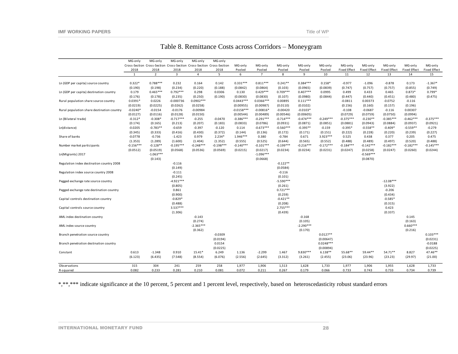|                  |            |                     |            | Table 8. Remittance Costs across Corridors – Moneygram |  |  |  |
|------------------|------------|---------------------|------------|--------------------------------------------------------|--|--|--|
| MG <sub>on</sub> | $MG$ -only | $MC$ - $\alpha$ nly | $MG$ -only | $MG$ -only                                             |  |  |  |

|                                            | ivig-only    | ivig-only      | ivig-only               | ivig-only                                                             | עוווט-טווו  |              |                |             |             |             |                     |                     |                     |                     |              |
|--------------------------------------------|--------------|----------------|-------------------------|-----------------------------------------------------------------------|-------------|--------------|----------------|-------------|-------------|-------------|---------------------|---------------------|---------------------|---------------------|--------------|
|                                            |              |                |                         | Cross-Section Cross-Section Cross-Section Cross-Section Cross-Section |             | MG-only      | MG-only        | MG-only     | MG-only     | MG-only     | MG-only             | MG-only             | MG-only             | MG-only             | MG-only      |
|                                            | 2018         | 2018           | 2018                    | 2018                                                                  | 2018        | Pooled       | Pooled         | Pooled      | Pooled      | Pooled      | <b>Fixed Effect</b> | <b>Fixed Effect</b> | <b>Fixed Effect</b> | <b>Fixed Effect</b> | Fixed Effect |
|                                            | $\mathbf{1}$ | $\overline{2}$ | $\overline{\mathbf{3}}$ | $\overline{4}$                                                        | 5           | 6            | $\overline{7}$ | 8           | 9           | 10          | 11                  | 12                  | 13                  | 14                  | 15           |
|                                            |              |                |                         |                                                                       |             |              |                |             |             |             |                     |                     |                     |                     |              |
| Ln (GDP per capita) source country         | $0.322*$     | $0.788***$     | 0.232                   | 0.164                                                                 | 0.142       | $0.331***$   | $0.811***$     | $0.241**$   | $0.384***$  | $0.158*$    | $-0.977$            | $-1.096$            | $-0.878$            | 0.173               | $-1.367*$    |
|                                            | (0.190)      | (0.198)        | (0.234)                 | (0.220)                                                               | (0.188)     | (0.0842)     | (0.0864)       | (0.103)     | (0.0965)    | (0.0839)    | (0.747)             | (0.757)             | (0.757)             | (0.855)             | (0.749)      |
| Ln (GDP per capita) destination country    | 0.179        | $0.465***$     | $0.792***$              | 0.298                                                                 | 0.0306      | 0.130        | $0.429***$     | $0.709***$  | $0.407***$  | 0.0995      | 0.499               | 0.433               | 0.465               | $0.873*$            | $0.799*$     |
|                                            | (0.176)      | (0.178)        | (0.235)                 | (0.250)                                                               | (0.190)     | (0.0830)     | (0.0830)       | (0.107)     | (0.0980)    | (0.0844)    | (0.447)             | (0.440)             | (0.451)             | (0.480)             | (0.475)      |
| Rural population share source country      | $0.0391*$    | 0.0226         | $-0.000736$             | $0.0902***$                                                           |             | $0.0443***$  | $0.0366***$    | 0.00895     | $0.111***$  |             | $-0.0811$           | 0.00373             | $-0.0752$           | $-0.116$            |              |
|                                            |              |                |                         |                                                                       |             |              |                |             |             |             |                     |                     |                     |                     |              |
|                                            | (0.0219)     | (0.0225)       | (0.0262)                | (0.0258)                                                              |             | (0.00955)    | (0.00987)      | (0.0110)    | (0.0102)    |             | (0.156)             | (0.160)             | (0.157)             | (0.196)             |              |
| Rural population share destination country | $-0.0240*$   | $-0.0154$      | $-0.0176$               | $-0.00984$                                                            |             | $-0.0158***$ | $-0.00816*$    | $-0.00420$  | $-0.0103*$  |             | $-0.108$            | $-0.0687$           | $-0.116$            | 0.00307             |              |
|                                            | (0.0127)     | (0.0116)       | (0.0128)                | (0.0150)                                                              |             | (0.00544)    | (0.00489)      | (0.00546)   | (0.00605)   |             | (0.0729)            | (0.0759)            | (0.0750)            | (0.0994)            |              |
| Ln (Bilateral trade)                       | $-0.312*$    | $-0.308*$      | $-0.717***$             | $-0.255$                                                              | $-0.0470$   | $-0.386***$  | $-0.291***$    | $-0.714***$ | $-0.474***$ | $-0.249***$ | $-0.375***$         | $-0.230**$          | $-0.385***$         | $-0.462***$         | $-0.375***$  |
|                                            | (0.174)      | (0.165)        | (0.213)                 | (0.207)                                                               | (0.183)     | (0.0833)     | (0.0786)       | (0.0931)    | (0.0871)    | (0.0851)    | (0.0881)            | (0.0943)            | (0.0884)            | (0.0937)            | (0.0921)     |
| Ln(distance)                               | $-0.0205$    | $-0.783**$     | $-0.659$                | $-0.397$                                                              | $-0.120$    | 0.114        | $-0.673***$    | $-0.560***$ | $-0.395**$  | $-0.159$    | $-0.395*$           | $-0.558**$          | $-0.409*$           | $-0.559**$          | $-0.279$     |
|                                            | (0.345)      | (0.333)        | (0.416)                 | (0.430)                                                               | (0.372)     | (0.144)      | (0.136)        | (0.172)     | (0.171)     | (0.151)     | (0.222)             | (0.228)             | (0.220)             | (0.239)             | (0.227)      |
| Share of banks                             | $-0.0778$    | $-0.736$       | $-1.423$                | 0.979                                                                 | $2.234*$    | $1.946***$   | 0.380          | $-0.784$    | 0.671       | 3.923 ***   | 0.525               | 0.438               | 0.377               | 0.205               | 0.475        |
|                                            | (1.353)      | (1.289)        | (1.600)                 | (1.404)                                                               | (1.352)     | (0.555)      | (0.525)        | (0.644)     | (0.565)     | (0.552)     | (0.488)             | (0.489)             | (0.497)             | (0.520)             | (0.488)      |
| Number market participants                 | $-0.156***$  | $-0.128**$     | $-0.195***$             | $-0.248***$                                                           | $-0.198***$ | $-0.140***$  | $-0.101***$    | $-0.199***$ | $-0.216***$ | $-0.172***$ | $-0.184***$         | $-0.142***$         | $-0.182***$         | $-0.182***$         | $-0.145***$  |
|                                            |              |                |                         |                                                                       |             |              |                |             |             |             |                     |                     |                     |                     |              |
|                                            | (0.0512)     | (0.0519)       | (0.0568)                | (0.0536)                                                              | (0.0569)    | (0.0215)     | (0.0217)       | (0.0234)    | (0.0234)    | (0.0231)    | (0.0247)            | (0.0258)            | (0.0247)            | (0.0260)            | (0.0244)     |
| Ln(Migrants) 2017                          |              | $-1.063***$    |                         |                                                                       |             |              | $-1.096***$    |             |             |             |                     | $-0.569***$         |                     |                     |              |
|                                            |              | (0.143)        |                         |                                                                       |             |              | (0.0668)       |             |             |             |                     | (0.0870)            |                     |                     |              |
| Regulation index destination country 2008  |              |                | $-0.116$                |                                                                       |             |              |                | $-0.122**$  |             |             |                     |                     |                     |                     |              |
|                                            |              |                | (0.149)                 |                                                                       |             |              |                | (0.0584)    |             |             |                     |                     |                     |                     |              |
| Regulation index source country 2008       |              |                | $-0.111$                |                                                                       |             |              |                | $-0.116$    |             |             |                     |                     |                     |                     |              |
|                                            |              |                | (0.245)                 |                                                                       |             |              |                | (0.101)     |             |             |                     |                     |                     |                     |              |
| Pegged exchange rate source country        |              |                | $-4.921***$             |                                                                       |             |              |                | $-5.590***$ |             |             |                     |                     | $-12.08***$         |                     |              |
|                                            |              |                | (0.805)                 |                                                                       |             |              |                | (0.261)     |             |             |                     |                     | (3.922)             |                     |              |
| Pegged exchange rate destination country   |              |                | 0.861                   |                                                                       |             |              |                | $0.721***$  |             |             |                     |                     | $-0.206$            |                     |              |
|                                            |              |                |                         |                                                                       |             |              |                |             |             |             |                     |                     |                     |                     |              |
|                                            |              |                | (0.900)                 |                                                                       |             |              |                | (0.259)     |             |             |                     |                     | (0.434)             |                     |              |
| Capital controls destination country       |              |                | $-0.829*$               |                                                                       |             |              |                | $-0.421**$  |             |             |                     |                     | $-0.585*$           |                     |              |
|                                            |              |                | (0.488)                 |                                                                       |             |              |                | (0.208)     |             |             |                     |                     | (0.315)             |                     |              |
| Capital controls source country            |              |                | $3.537***$              |                                                                       |             |              |                | $2.755***$  |             |             |                     |                     | 0.423               |                     |              |
|                                            |              |                | (1.306)                 |                                                                       |             |              |                | (0.439)     |             |             |                     |                     | (0.337)             |                     |              |
| AML index destination country              |              |                |                         | $-0.143$                                                              |             |              |                |             | $-0.168$    |             |                     |                     |                     | 0.145               |              |
|                                            |              |                |                         | (0.274)                                                               |             |              |                |             | (0.105)     |             |                     |                     |                     | (0.163)             |              |
| AML index source country                   |              |                |                         | $-2.365***$                                                           |             |              |                |             | $-2.290***$ |             |                     |                     |                     | $0.660***$          |              |
|                                            |              |                |                         | (0.362)                                                               |             |              |                |             | (0.170)     |             |                     |                     |                     | (0.216)             |              |
| Branch penetration source country          |              |                |                         |                                                                       | $-0.0309$   |              |                |             |             | $0.0127**$  |                     |                     |                     |                     | $0.103***$   |
|                                            |              |                |                         |                                                                       |             |              |                |             |             |             |                     |                     |                     |                     |              |
|                                            |              |                |                         |                                                                       | (0.0194)    |              |                |             |             | (0.00647)   |                     |                     |                     |                     | (0.0231)     |
| Branch penetration destination country     |              |                |                         |                                                                       | 0.0154      |              |                |             |             | $0.0248***$ |                     |                     |                     |                     | $-0.0188$    |
|                                            |              |                |                         |                                                                       | (0.0225)    |              |                |             |             | (0.00894)   |                     |                     |                     |                     | (0.0225)     |
| Constant                                   | 0.613        | $-1.348$       | 0.910                   | 15.41*                                                                | 6.249       | 1.136        | $-2.299$       | 1.467       | $9.830***$  | $6.138**$   | 55.68**             | 59.44**             | 54.71**             | 8.827               | 47.46**      |
|                                            | (6.123)      | (6.435)        | (7.548)                 | (8.554)                                                               | (6.076)     | (2.556)      | (2.645)        | (3.312)     | (3.261)     | (2.455)     | (23.06)             | (23.96)             | (23.23)             | (29.97)             | (21.00)      |
|                                            |              |                |                         |                                                                       |             |              |                |             |             |             |                     |                     |                     |                     |              |
| Observations                               | 315          | 304            | 241                     | 259                                                                   | 258         | 1,977        | 1,906          | 1,513       | 1,628       | 1,733       | 1,977               | 1,906               | 1,955               | 1,628               | 1,733        |
| R-squared                                  | 0.082        | 0.233          | 0.281                   | 0.210                                                                 | 0.081       | 0.072        | 0.211          | 0.267       | 0.179       | 0.066       | 0.733               | 0.743               | 0.733               | 0.734               | 0.739        |

\*,\*\*,\*\*\* indicate significance at the 10 percent, 5 percent and 1 percent level, respectively, based on heteroscedasticity robust standard errors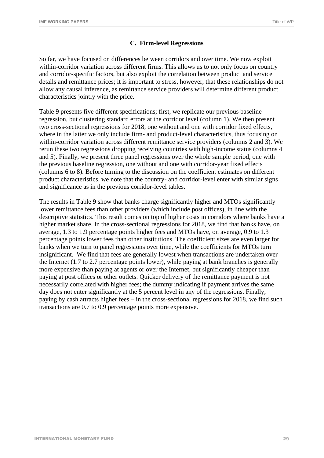#### **C. Firm-level Regressions**

So far, we have focused on differences between corridors and over time. We now exploit within-corridor variation across different firms. This allows us to not only focus on country and corridor-specific factors, but also exploit the correlation between product and service details and remittance prices; it is important to stress, however, that these relationships do not allow any causal inference, as remittance service providers will determine different product characteristics jointly with the price.

Table 9 presents five different specifications; first, we replicate our previous baseline regression, but clustering standard errors at the corridor level (column 1). We then present two cross-sectional regressions for 2018, one without and one with corridor fixed effects, where in the latter we only include firm- and product-level characteristics, thus focusing on within-corridor variation across different remittance service providers (columns 2 and 3). We rerun these two regressions dropping receiving countries with high-income status (columns 4 and 5). Finally, we present three panel regressions over the whole sample period, one with the previous baseline regression, one without and one with corridor-year fixed effects (columns 6 to 8). Before turning to the discussion on the coefficient estimates on different product characteristics, we note that the country- and corridor-level enter with similar signs and significance as in the previous corridor-level tables.

The results in Table 9 show that banks charge significantly higher and MTOs significantly lower remittance fees than other providers (which include post offices), in line with the descriptive statistics. This result comes on top of higher costs in corridors where banks have a higher market share. In the cross-sectional regressions for 2018, we find that banks have, on average, 1.3 to 1.9 percentage points higher fees and MTOs have, on average, 0.9 to 1.3 percentage points lower fees than other institutions. The coefficient sizes are even larger for banks when we turn to panel regressions over time, while the coefficients for MTOs turn insignificant. We find that fees are generally lowest when transactions are undertaken over the Internet (1.7 to 2.7 percentage points lower), while paying at bank branches is generally more expensive than paying at agents or over the Internet, but significantly cheaper than paying at post offices or other outlets. Quicker delivery of the remittance payment is not necessarily correlated with higher fees; the dummy indicating if payment arrives the same day does not enter significantly at the 5 percent level in any of the regressions. Finally, paying by cash attracts higher fees – in the cross-sectional regressions for 2018, we find such transactions are 0.7 to 0.9 percentage points more expensive.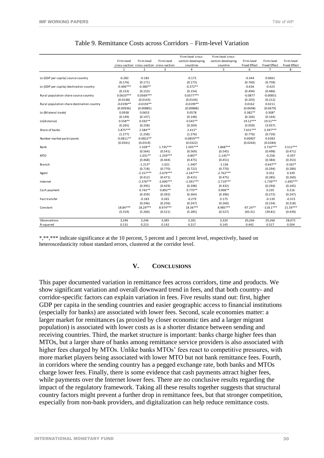|  |  | Table 9. Remittance Costs across Corridors – Firm-level Variation |  |
|--|--|-------------------------------------------------------------------|--|
|--|--|-------------------------------------------------------------------|--|

|                                            |             |                     |                                           | Firm-level cross-  | Firm-level cross-  |                     |                     |                     |
|--------------------------------------------|-------------|---------------------|-------------------------------------------|--------------------|--------------------|---------------------|---------------------|---------------------|
|                                            | Firm-level  | Firm-level          | Firm-level                                | section developing | section developing | Firm-level          | Firm-level          | Firm-level          |
|                                            |             |                     | cross-section cross-section cross-section | countries          | countrie           | <b>Fixed Effect</b> | <b>Fixed Effect</b> | <b>Fixed Effect</b> |
|                                            | 1           | $\overline{2}$      | 3                                         | $\overline{4}$     | 5                  | 6                   | $\overline{7}$      | 8                   |
| Ln (GDP per capita) source country         | $-0.282$    | $-0.182$            |                                           | $-0.172$           |                    | $-0.344$            | 0.0661              |                     |
|                                            | (0.176)     | (0.171)             |                                           | (0.173)            |                    | (0.760)             | (0.758)             |                     |
| Ln (GDP per capita) destination country    | $-0.406***$ | $-0.380**$          |                                           | $-0.372**$         |                    | $-0.636$            | $-0.423$            |                     |
|                                            | (0.153)     | (0.153)             |                                           | (0.154)            |                    | (0.494)             | (0.486)             |                     |
|                                            | $0.0610***$ | $0.0569***$         |                                           | $0.0577***$        |                    | $-0.0877$           | $-0.00851$          |                     |
| Rural population share source country      |             |                     |                                           |                    |                    |                     |                     |                     |
|                                            | (0.0148)    | (0.0143)            |                                           | (0.0144)           |                    | (0.203)             | (0.212)             |                     |
| Rural population share destination country | $-0.0190**$ | $-0.0193**$         |                                           | $-0.0199**$        |                    | 0.0162              | 0.0211              |                     |
|                                            | (0.00936)   | (0.00885)           |                                           | (0.00888)          |                    | (0.0698)            | (0.0679)            |                     |
| Ln (Bilateral trade)                       | 0.0938      | 0.0653              |                                           | 0.0578             |                    | $0.382**$           | $0.308*$            |                     |
|                                            | (0.149)     | (0.147)             |                                           | (0.148)            |                    | (0.166)             | (0.164)             |                     |
| Ln(distance)                               | $0.558**$   | $0.592**$           |                                           | $0.545**$          |                    | 19.12***            | 19.51***            |                     |
|                                            | (0.265)     | (0.258)             |                                           | (0.269)            |                    | (3.059)             | (3.057)             |                     |
| Share of banks                             | 5.875***    | 2.584**             |                                           | $2.415*$           |                    | $7.631***$          | 3.397***            |                     |
|                                            | (1.277)     | (1.258)             |                                           | (1.276)            |                    | (0.776)             | (0.720)             |                     |
| Number market participants                 | $-0.0811**$ | $-0.0822**$         |                                           | $-0.0859***$       |                    | 0.00907             | 0.0383              |                     |
|                                            | (0.0341)    | (0.0319)            |                                           | (0.0322)           |                    | (0.0264)            | (0.0284)            |                     |
| Bank                                       |             | $1.328**$           | $1.745***$                                | $1.505***$         | $1.868***$         |                     | $3.710***$          | $3.512***$          |
|                                            |             | (0.564)             | (0.541)                                   | (0.569)            | (0.545)            |                     | (0.498)             | (0.471)             |
| <b>MTO</b>                                 |             | $-1.031**$          | $-1.259***$                               | $-0.897*$          | $-1.145**$         |                     | $-0.258$            | $-0.397$            |
|                                            |             | (0.468)             | (0.444)                                   | (0.475)            | (0.451)            |                     | (0.384)             | (0.353)             |
| Branch                                     |             | $-1.213*$           | $-1.021$                                  | $-1.340*$          | $-1.136$           |                     | $-0.647**$          | $-0.567*$           |
|                                            |             | (0.718)             | (0.770)                                   | (0.722)            | (0.770)            |                     | (0.294)             | (0.289)             |
| Agent                                      |             | $-2.157***$         | $-2.679***$                               | $-2.247***$        | $-2.762***$        |                     | 0.352               | 0.339               |
|                                            |             | (0.412)             | (0.471)                                   | (0.415)            | (0.475)            |                     | (0.285)             | (0.260)             |
| Internet                                   |             | $-2.376***$         | $-2.690***$                               | $-2.391***$        | $-2.719***$        |                     | $-1.739***$         | $-1.695***$         |
|                                            |             | (0.395)             | (0.429)                                   | (0.398)            | (0.432)            |                     | (0.294)             | (0.245)             |
| Cash payment                               |             | $0.742**$           | $0.892**$                                 | $0.770**$          | $0.906**$          |                     | 0.235               | 0.216               |
|                                            |             | (0.359)             | (0.392)                                   | (0.364)            | (0.396)            |                     | (0.272)             | (0.247)             |
| Fast transfer                              |             | $-0.183$            | 0.265                                     | $-0.279$           | 0.175              |                     | $-0.139$            | $-0.315$            |
|                                            |             |                     | (0.256)                                   | (0.247)            | (0.260)            |                     | (0.234)             | (0.218)             |
|                                            | 18.84***    | (0.246)<br>18.29*** | 8.974***                                  | 18.36***           | 8.985 ***          | $-97.24**$          | $-118.1***$         | 21.59***            |
| Constant                                   |             |                     |                                           |                    |                    |                     |                     |                     |
|                                            | (5.319)     | (5.260)             | (0.521)                                   | (5.285)            | (0.527)            | (40.31)             | (39.81)             | (0.439)             |
| Observations                               | 3,246       | 3,246               | 3,385                                     | 3,181              | 3,320              | 20,266              | 20,266              | 28,072              |
| R-squared                                  | 0.131       | 0.213               | 0.142                                     | 0.217              | 0.145              | 0.442               | 0.517               | 0.504               |

\*,\*\*,\*\*\* indicate significance at the 10 percent, 5 percent and 1 percent level, respectively, based on heteroscedasticity robust standard errors, clustered at the corridor level.

#### **V. CONCLUSIONS**

This paper documented variation in remittance fees across corridors, time and products. We show significant variation and overall downward trend in fees, and that both country- and corridor-specific factors can explain variation in fees. Five results stand out: first, higher GDP per capita in the sending countries and easier geographic access to financial institutions (especially for banks) are associated with lower fees. Second, scale economies matter: a larger market for remittances (as proxied by closer economic ties and a larger migrant population) is associated with lower costs as is a shorter distance between sending and receiving countries. Third, the market structure is important: banks charge higher fees than MTOs, but a larger share of banks among remittance service providers is also associated with higher fees charged by MTOs. Unlike banks MTOs' fees react to competitive pressures, with more market players being associated with lower MTO but not bank remittance fees. Fourth, in corridors where the sending country has a pegged exchange rate, both banks and MTOs charge lower fees. Finally, there is some evidence that cash payments attract higher fees, while payments over the Internet lower fees. There are no conclusive results regarding the impact of the regulatory framework. Taking all these results together suggests that structural country factors might prevent a further drop in remittance fees, but that stronger competition, especially from non-bank providers, and digitalization can help reduce remittance costs.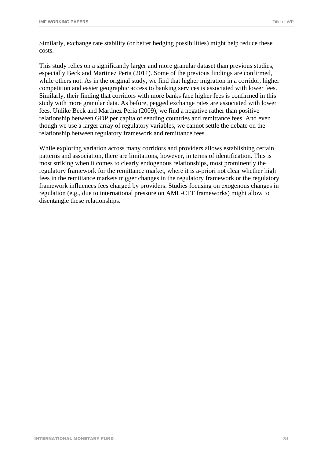Similarly, exchange rate stability (or better hedging possibilities) might help reduce these costs.

This study relies on a significantly larger and more granular dataset than previous studies, especially Beck and Martinez Peria (2011). Some of the previous findings are confirmed, while others not. As in the original study, we find that higher migration in a corridor, higher competition and easier geographic access to banking services is associated with lower fees. Similarly, their finding that corridors with more banks face higher fees is confirmed in this study with more granular data. As before, pegged exchange rates are associated with lower fees. Unlike Beck and Martinez Peria (2009), we find a negative rather than positive relationship between GDP per capita of sending countries and remittance fees. And even though we use a larger array of regulatory variables, we cannot settle the debate on the relationship between regulatory framework and remittance fees.

While exploring variation across many corridors and providers allows establishing certain patterns and association, there are limitations, however, in terms of identification. This is most striking when it comes to clearly endogenous relationships, most prominently the regulatory framework for the remittance market, where it is a-priori not clear whether high fees in the remittance markets trigger changes in the regulatory framework or the regulatory framework influences fees charged by providers. Studies focusing on exogenous changes in regulation (e.g., due to international pressure on AML-CFT frameworks) might allow to disentangle these relationships.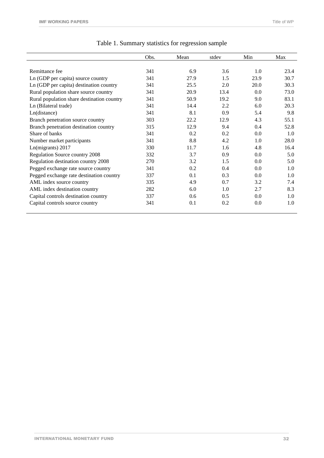|                                            | Obs. | Mean | stdev | Min  | Max  |
|--------------------------------------------|------|------|-------|------|------|
|                                            |      |      |       |      |      |
| Remittance fee                             | 341  | 6.9  | 3.6   | 1.0  | 23.4 |
| Ln (GDP per capita) source country         | 341  | 27.9 | 1.5   | 23.9 | 30.7 |
| Ln (GDP per capita) destination country    | 341  | 25.5 | 2.0   | 20.0 | 30.3 |
| Rural population share source country      | 341  | 20.9 | 13.4  | 0.0  | 73.0 |
| Rural population share destination country | 341  | 50.9 | 19.2  | 9.0  | 83.1 |
| Ln (Bilateral trade)                       | 341  | 14.4 | 2.2   | 6.0  | 20.3 |
| Ln(distance)                               | 341  | 8.1  | 0.9   | 5.4  | 9.8  |
| Branch penetration source country          | 303  | 22.2 | 12.9  | 4.3  | 55.1 |
| Branch penetration destination country     | 315  | 12.9 | 9.4   | 0.4  | 52.8 |
| Share of banks                             | 341  | 0.2  | 0.2   | 0.0  | 1.0  |
| Number market participants                 | 341  | 8.8  | 4.2   | 1.0  | 28.0 |
| Ln(migrants) 2017                          | 330  | 11.7 | 1.6   | 4.8  | 16.4 |
| Regulation Source country 2008             | 332  | 3.7  | 0.9   | 0.0  | 5.0  |
| Regulation destination country 2008        | 270  | 3.2  | 1.5   | 0.0  | 5.0  |
| Pegged exchange rate source country        | 341  | 0.2  | 0.4   | 0.0  | 1.0  |
| Pegged exchange rate destination country   | 337  | 0.1  | 0.3   | 0.0  | 1.0  |
| AML index source country                   | 335  | 4.9  | 0.7   | 3.2  | 7.4  |
| AML index destination country              | 282  | 6.0  | 1.0   | 2.7  | 8.3  |
| Capital controls destination country       | 337  | 0.6  | 0.5   | 0.0  | 1.0  |
| Capital controls source country            | 341  | 0.1  | 0.2   | 0.0  | 1.0  |
|                                            |      |      |       |      |      |

## Table 1. Summary statistics for regression sample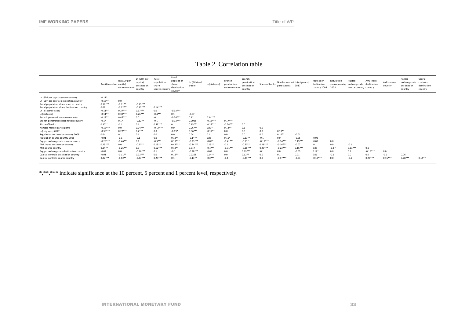### Table 2. Correlation table

|                                            | Remittance fee capita) | Ln (GDP per<br>source country | Ln (GDP per<br>capita)<br>destination<br>country | Rural<br>population<br>share<br>source country | Rural<br>population<br>share<br>destination<br>country | Ln (Bilateral<br>tradel | Ln(distance) | Branch<br>penetration<br>source country | Branch<br>penetration<br>destination<br>country | Share of banks | Number market Ln(migrants)<br>participants | 2017      | Regulation<br>destination<br>country 2008 | Regulation<br>2008 | Pegged<br>source country exchange rate<br>source country country | AML index<br>destination | AML source<br>country | Pegged<br>exchange rate<br>destination<br>country | Capital<br>controls<br>destination<br>country |
|--------------------------------------------|------------------------|-------------------------------|--------------------------------------------------|------------------------------------------------|--------------------------------------------------------|-------------------------|--------------|-----------------------------------------|-------------------------------------------------|----------------|--------------------------------------------|-----------|-------------------------------------------|--------------------|------------------------------------------------------------------|--------------------------|-----------------------|---------------------------------------------------|-----------------------------------------------|
| Ln (GDP per capita) source country         | $-0.11*$               |                               |                                                  |                                                |                                                        |                         |              |                                         |                                                 |                |                                            |           |                                           |                    |                                                                  |                          |                       |                                                   |                                               |
| Ln (GDP per capita) destination country    | $-0.13**$              | 0.0                           |                                                  |                                                |                                                        |                         |              |                                         |                                                 |                |                                            |           |                                           |                    |                                                                  |                          |                       |                                                   |                                               |
| Rural population share source country      | $0.36***$              | $-0.11**$                     | $-0.15***$                                       |                                                |                                                        |                         |              |                                         |                                                 |                |                                            |           |                                           |                    |                                                                  |                          |                       |                                                   |                                               |
| Rural population share destination country | 0.02                   | $-0.22***$                    | $-0.17***$                                       | $0.14***$                                      |                                                        |                         |              |                                         |                                                 |                |                                            |           |                                           |                    |                                                                  |                          |                       |                                                   |                                               |
| Ln (Bilateral trade)                       | $-0.11**$              | $0.27***$                     | $0.67***$                                        | 0.0                                            | $-0.33***$                                             |                         |              |                                         |                                                 |                |                                            |           |                                           |                    |                                                                  |                          |                       |                                                   |                                               |
| Ln(distance)                               | $-0.11**$              | $0.39***$                     | $0.26***$                                        | $-0.4***$                                      | 0.1                                                    | $-0.07$                 |              |                                         |                                                 |                |                                            |           |                                           |                    |                                                                  |                          |                       |                                                   |                                               |
| Branch penetration source country          | $-0.13**$              | $0.46***$                     | 0.0                                              | $-0.1$                                         | $-0.26***$                                             | $0.1*$                  | $0.34***$    |                                         |                                                 |                |                                            |           |                                           |                    |                                                                  |                          |                       |                                                   |                                               |
| Branch penetration destination country     | $-0.1*$                | $0.1*$                        | $-0.12**$                                        | $-0.1$                                         | $-0.32***$                                             | 0.0028                  | $-0.18***$   | $0.17***$                               |                                                 |                |                                            |           |                                           |                    |                                                                  |                          |                       |                                                   |                                               |
| Share of banks                             | $0.3***$               | $-0.1$                        | 0.1                                              | $0.53***$                                      | 0.1                                                    | $0.15***$               | $-0.22***$   | $-0.24***$                              | 0.0                                             |                |                                            |           |                                           |                    |                                                                  |                          |                       |                                                   |                                               |
| Number market participants                 | $-0.15***$             | 0.0                           | $0.24***$                                        | $-0.17***$                                     | 0.0                                                    | $0.26***$               | $0.09*$      | $0.14**$                                | 0.1                                             | 0.0            |                                            |           |                                           |                    |                                                                  |                          |                       |                                                   |                                               |
| Ln(migrants) 2017                          | $-0.36***$             | $0.22***$                     | $0.2***$                                         | 0.0                                            | $-0.09*$                                               | $0.36***$               | $-0.12**$    | 0.0                                     | 0.0                                             | 0.0            | $0.13***$                                  |           |                                           |                    |                                                                  |                          |                       |                                                   |                                               |
| Regulation destination country 2008        | 0.04                   | 0.1                           | 0.1                                              | 0.0                                            | 0.0                                                    | 0.04                    | 0.1          | 0.0                                     | 0.0                                             | 0.0            | $0.14**$                                   | $-0.01$   |                                           |                    |                                                                  |                          |                       |                                                   |                                               |
| Regulation source country 2008             | $-0.01$                | $-0.1$                        | $-0.1$                                           | 0.0                                            | $0.13**$                                               | $-0.14**$               | 0.08         | $0.11*$                                 | $-0.13**$                                       | $-0.1$         | 0.0                                        | $-0.05$   | $-0.03$                                   |                    |                                                                  |                          |                       |                                                   |                                               |
| Pegged exchange rate source country        | $-0.28***$             | $-0.46***$                    | 0.1                                              | $-0.3***$                                      | $0.17***$                                              | $-0.23***$              | $-0.09*$     | $-0.41***$                              | $-0.11*$                                        | $-0.17***$     | $-0.14***$                                 | $0.19***$ | $-0.03$                                   | 0.0                |                                                                  |                          |                       |                                                   |                                               |
| AML index destination country              | $0.25***$              | 0.0                           | $-0.2***$                                        | $0.15**$                                       | $0.49***$                                              | $-0.24***$              | $0.15**$     | $-0.1$                                  | $-0.5***$                                       | $0.16***$      | $-0.16***$                                 | $-0.07$   | $-0.1$                                    | 0.0                | $-0.1$                                                           |                          |                       |                                                   |                                               |
| AML source country                         | $0.14***$              | $-0.25***$                    | 0.0                                              | $0.52***$                                      | $0.13**$                                               | 0.047                   | $-0.4***$    | $-0.31***$                              | $-0.16***$                                      | $0.29***$      | $-0.22***$                                 | $0.16***$ | 0.05                                      | $-0.1*$            | $0.23***$                                                        | 0.1                      |                       |                                                   |                                               |
| Pegged exchange rate destination country   | $-0.02$                | 0.0                           | $-0.36***$                                       | 0.1                                            | $-0.1$                                                 | $-0.28***$              | $-0.09$      | 0.0                                     | $0.19***$                                       | $-0.1$         | 0.0                                        | $-0.05$   | $0.12*$                                   | 0.0                | 0.1                                                              | $-0.16***$               | 0.0                   |                                                   |                                               |
| Capital controls destination country       | $-0.01$                | $-0.11**$                     | $0.22***$                                        | 0.0                                            | $0.12**$                                               | 0.0258                  | $0.14**$     | 0.0                                     | $0.12**$                                        | 0.0            | 0.1                                        | 0.01      | 0.01                                      | $-0.1$             | 0.0                                                              | 0.0                      | $-0.1$                | 0.06                                              |                                               |
| Capital controls source country            | $0.37***$              | $-0.12**$                     | $-0.27***$                                       | $0.24***$                                      | 0.1                                                    | $-0.13**$               | $-0.2***$    | $-0.1$                                  | $-0.21***$                                      | 0.0            | $-0.17***$                                 | $-0.03$   | $-0.18***$                                | 0.0                | $-0.1$                                                           | $0.28***$                | $0.15***$             | $0.28***$                                         | $0.14**$                                      |

\*,\*\*,\*\*\* indicate significance at the 10 percent, 5 percent and 1 percent level, respectively.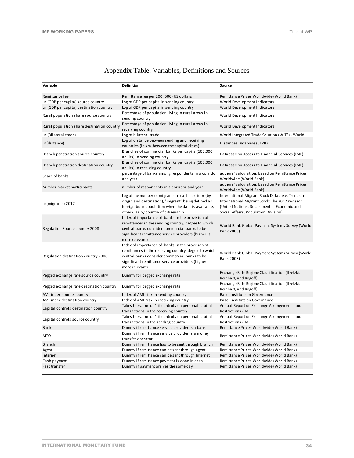## Appendix Table. Variables, Definitions and Sources

| Variable                                   | <b>Definition</b>                                                                                                                                                                                                                   | Source                                                                                                                                                                                    |
|--------------------------------------------|-------------------------------------------------------------------------------------------------------------------------------------------------------------------------------------------------------------------------------------|-------------------------------------------------------------------------------------------------------------------------------------------------------------------------------------------|
|                                            |                                                                                                                                                                                                                                     |                                                                                                                                                                                           |
| Remittance fee                             | Remittance fee per 200 (500) US dollars                                                                                                                                                                                             | Remittance Prices Worldwide (World Bank)                                                                                                                                                  |
| Ln (GDP per capita) source country         | Log of GDP per capita in sending country                                                                                                                                                                                            | World Development Indicators                                                                                                                                                              |
| Ln (GDP per capita) destination country    | Log of GDP per capita in sending country                                                                                                                                                                                            | World Development Indicators                                                                                                                                                              |
| Rural population share source country      | Percentage of population living in rural areas in<br>sending country                                                                                                                                                                | World Development Indicators                                                                                                                                                              |
| Rural population share destination country | Percentage of population living in rural areas in<br>receiving country                                                                                                                                                              | World Development Indicators                                                                                                                                                              |
| Ln (Bilateral trade)                       | Log of bilateral trade                                                                                                                                                                                                              | World Integrated Trade Solution (WITS) - World                                                                                                                                            |
| Ln(distance)                               | Log of distance between sending and receiving<br>countries (in km, between the capital cities)                                                                                                                                      | Distances Database (CEPII)                                                                                                                                                                |
| Branch penetration source country          | Branches of commercial banks per capita (100,000<br>adults) in sending country                                                                                                                                                      | Database on Access to Financial Services (IMF)                                                                                                                                            |
| Branch penetration destination country     | Branches of commercial banks per capita (100,000<br>adults) in receiving country                                                                                                                                                    | Database on Access to Financial Services (IMF)                                                                                                                                            |
| Share of banks                             | percentage of banks among respondents in a corridor authors' calculation, based on Remittance Prices<br>and year                                                                                                                    | Worldwide (World Bank)                                                                                                                                                                    |
| Number market participants                 | number of respondents in a corridor and year                                                                                                                                                                                        | authors' calculation, based on Remittance Prices<br>Worldwide (World Bank)                                                                                                                |
| Ln(migrants) 2017                          | Log of the number of migrants in each corridor (by<br>origin and destination), "migrant" being defined as<br>foreign-born population when the data is available,<br>otherwise by country of citizenship                             | International Migrant Stock Database. Trends in<br>International Migrant Stock: The 2017 revision.<br>(United Nations, Department of Economic and<br>Social Affairs, Population Division) |
| Regulation Source country 2008             | Index of importance of banks in the provision of<br>remittances in the sending country, degree to which<br>central banks consider commercial banks to be<br>significant remittance service providers (higher is<br>more relevant)   | World Bank Global Payment Systems Survey (World<br>Bank 2008)                                                                                                                             |
| Regulation destination country 2008        | Index of importance of banks in the provision of<br>remittances in the receiving country, degree to which<br>central banks consider commercial banks to be<br>significant remittance service providers (higher is<br>more relevant) | World Bank Global Payment Systems Survey (World<br>Bank 2008)                                                                                                                             |
| Pegged exchange rate source country        | Dummy for pegged exchange rate                                                                                                                                                                                                      | Exchange Rate Regime Classification (Ilzetzki,<br>Reinhart, and Rogoff)                                                                                                                   |
| Pegged exchange rate destination country   | Dummy for pegged exchange rate                                                                                                                                                                                                      | Exchange Rate Regime Classification (Ilzetzki,<br>Reinhart, and Rogoff)                                                                                                                   |
| AML index source country                   | Index of AML risk in sending country                                                                                                                                                                                                | Basel Institute on Governance                                                                                                                                                             |
| AML index destination country              | Index of AML risk in receiving country                                                                                                                                                                                              | Basel Institute on Governance                                                                                                                                                             |
| Capital controls destination country       | Takes the value of 1 if controls on personal capital<br>transactions in the receiving country                                                                                                                                       | Annual Report on Exchange Arrangements and<br>Restrictions (IMF)                                                                                                                          |
| Capital controls source country            | Takes the value of 1 if controls on personal capital<br>transactions in the sending country                                                                                                                                         | Annual Report on Exchange Arrangements and<br>Restrictions (IMF)                                                                                                                          |
| Bank                                       | Dummy if remittance service provider is a bank                                                                                                                                                                                      | Remittance Prices Worldwide (World Bank)                                                                                                                                                  |
| <b>MTO</b>                                 | Dummy if remittance service provider is a money<br>transfer operator                                                                                                                                                                | Remittance Prices Worldwide (World Bank)                                                                                                                                                  |
| Branch                                     | Dummy if remittance has to be sent through branch                                                                                                                                                                                   | Remittance Prices Worldwide (World Bank)                                                                                                                                                  |
| Agent                                      | Dummy if remittance can be sent through agent                                                                                                                                                                                       | Remittance Prices Worldwide (World Bank)                                                                                                                                                  |
| Internet                                   | Dummy if remittance can be sent through Internet                                                                                                                                                                                    | Remittance Prices Worldwide (World Bank)                                                                                                                                                  |
| Cash payment                               | Dummy if remittance payment is done in cash                                                                                                                                                                                         | Remittance Prices Worldwide (World Bank)                                                                                                                                                  |
| Fast transfer                              | Dummy if payment arrives the same day                                                                                                                                                                                               | Remittance Prices Worldwide (World Bank)                                                                                                                                                  |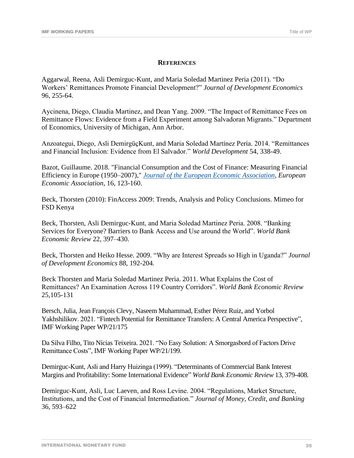#### **REFERENCES**

Aggarwal, Reena, Asli Demirguc-Kunt, and Maria Soledad Martinez Peria (2011). "Do Workers' Remittances Promote Financial Development?" *Journal of Development Economics* 96, 255-64.

Aycinena, Diego, Claudia Martinez, and Dean Yang. 2009. "The Impact of Remittance Fees on Remittance Flows: Evidence from a Field Experiment among Salvadoran Migrants." Department of Economics, University of Michigan, Ann Arbor.

Anzoategui, Diego, Asli DemirgüçKunt, and Maria Soledad Martínez Pería. 2014. "Remittances and Financial Inclusion: Evidence from El Salvador." *World Development* 54, 338-49.

Bazot, Guillaume. 2018. "Financial Consumption and the Cost of Finance: Measuring Financial Efficiency in Europe (1950–2007)," *[Journal of the European Economic Association,](https://ideas.repec.org/s/oup/jeurec.html) European Economic Association*, 16, 123-160.

Beck, Thorsten (2010): FinAccess 2009: Trends, Analysis and Policy Conclusions. Mimeo for FSD Kenya

Beck, Thorsten, Asli Demirguc-Kunt, and Maria Soledad Martinez Peria. 2008. "Banking Services for Everyone? Barriers to Bank Access and Use around the World". *World Bank Economic Review* 22, 397–430.

Beck, Thorsten and Heiko Hesse. 2009. "Why are Interest Spreads so High in Uganda?" *Journal of Development Economics* 88, 192-204*.*

Beck Thorsten and Maria Soledad Martinez Peria. 2011. What Explains the Cost of Remittances? An Examination Across 119 Country Corridors". *World Bank Economic Review*  25,105-131

Bersch, Julia, Jean François Clevy, Naseem Muhammad, Esther Pérez Ruiz, and Yorbol Yakhshilikov. 2021. "Fintech Potential for Remittance Transfers: A Central America Perspective", IMF Working Paper WP/21/175

Da Silva Filho, Tito Nícias Teixeira. 2021. "No Easy Solution: A Smorgasbord of Factors Drive Remittance Costs", IMF Working Paper WP/21/199.

Demirguc-Kunt, Asli and Harry Huizinga (1999). "Determinants of Commercial Bank Interest Margins and Profitability: Some International Evidence" *World Bank Economic Review* 13, 379-408.

Demirguc-Kunt, Asli, Luc Laeven, and Ross Levine. 2004. "Regulations, Market Structure, Institutions, and the Cost of Financial Intermediation." *Journal of Money, Credit, and Banking* 36, 593–622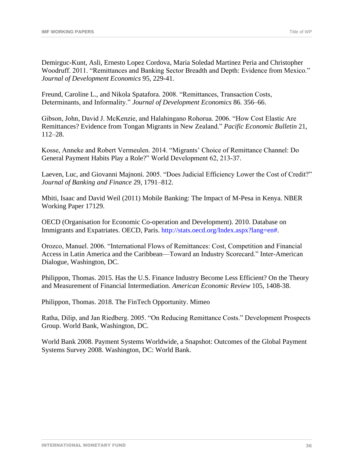Demirguc-Kunt, Asli, Ernesto Lopez Cordova, Maria Soledad Martinez Peria and Christopher Woodruff. 2011. "Remittances and Banking Sector Breadth and Depth: Evidence from Mexico." *Journal of Development Economics* 95, 229-41.

Freund, Caroline L., and Nikola Spatafora. 2008. "Remittances, Transaction Costs, Determinants, and Informality." *Journal of Development Economics* 86. 356–66.

Gibson, John, David J. McKenzie, and Halahingano Rohorua. 2006. "How Cost Elastic Are Remittances? Evidence from Tongan Migrants in New Zealand." *Pacific Economic Bulletin* 21, 112–28.

Kosse, Anneke and Robert Vermeulen. 2014. "Migrants' Choice of Remittance Channel: Do General Payment Habits Play a Role?" World Development 62, 213-37.

Laeven, Luc, and Giovanni Majnoni. 2005. "Does Judicial Efficiency Lower the Cost of Credit?" *Journal of Banking and Finance* 29, 1791–812.

Mbiti, Isaac and David Weil (2011) Mobile Banking: The Impact of M-Pesa in Kenya. NBER Working Paper 17129.

OECD (Organisation for Economic Co-operation and Development). 2010. Database on Immigrants and Expatriates. OECD, Paris. http://stats.oecd.org/Index.aspx?lang=en#.

Orozco, Manuel. 2006. "International Flows of Remittances: Cost, Competition and Financial Access in Latin America and the Caribbean—Toward an Industry Scorecard." Inter-American Dialogue, Washington, DC.

Philippon, Thomas. 2015. Has the U.S. Finance Industry Become Less Efficient? On the Theory and Measurement of Financial Intermediation. *American Economic Review* 105, 1408-38.

Philippon, Thomas. 2018. The FinTech Opportunity. Mimeo

Ratha, Dilip, and Jan Riedberg. 2005. "On Reducing Remittance Costs." Development Prospects Group. World Bank, Washington, DC.

World Bank 2008. Payment Systems Worldwide, a Snapshot: Outcomes of the Global Payment Systems Survey 2008. Washington, DC: World Bank.